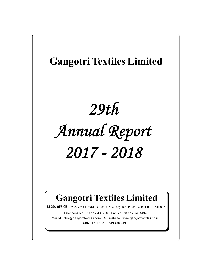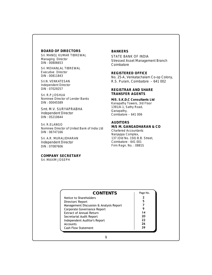**BOARD OF DIRECTORS** Sri. MANOJ KUMAR TIBREWAL Managing Director DIN : 00806653

Sri. MOHANLAL TIBREWAL Executive Director DIN : 00811843

Sri.N. VENKATESAN Independent Director DIN : 07029257

Sri. R.P.JOSHUA Nominee Director of Lender Banks DIN : 00045589

Smt. M.V. SURYAPRABHA Independent Director DIN : 05210644

Sri. R.ELANGO Nominee Director of United Bank of India Ltd DIN : 06747166

Sri. A.R. MURALIDHARAN Independent Director DIN : 07087606

**COMPANY SECRETARY** Sri. MAXIM JOSEPH

# **BANKERS**

STATE BANK OF INDIA Stressed Asset Management Branch Coimbatore

**REGISTERED OFFICE** No. 25-A, Venkatachalam Co-op Colony, R.S. Puram, Coimbatore – 641 002

**REGISTRAR AND SHARE TRANSFER AGENTS**

**M/S. S.K.D.C Consultants Ltd** Kanapathy Towers, 3rd Floor 1391/A-1, Sathy Road, Ganapathy, Coimbatore – 641 006

# **AUDITORS**

**M/S M. GANGADHARAN & CO** Chartered Accountants Nanjappa Complex, 137 (Old No. 150) B.B. Street, Coimbatore - 641 001 Firm Regn. No. : 0881S

| Notice to Shareholders<br>5<br>Directors' Report<br>Management Discussion & Analysis Report<br>Corporate Governance Report<br>14<br><b>Extract of Annual Return</b><br>20<br>Secretarial Audit Report<br>22<br>Independent Auditor's Report | Page No. |
|---------------------------------------------------------------------------------------------------------------------------------------------------------------------------------------------------------------------------------------------|----------|
|                                                                                                                                                                                                                                             |          |
|                                                                                                                                                                                                                                             |          |
|                                                                                                                                                                                                                                             |          |
|                                                                                                                                                                                                                                             |          |
|                                                                                                                                                                                                                                             |          |
|                                                                                                                                                                                                                                             |          |
|                                                                                                                                                                                                                                             |          |
| 26<br><b>Accounts</b>                                                                                                                                                                                                                       |          |
| 39<br><b>Cash Flow Statement</b>                                                                                                                                                                                                            |          |

**1**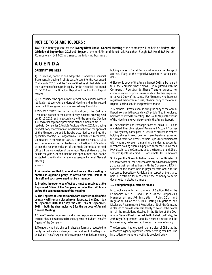# **NOTICE TO SHAREHOLDERS :**

NOTICE is hereby given that the **Twenty Ninth Annual General Meeting** of the company will be held on **Friday, the 28th day of September, 2018 at 3.30 p.m** at the mini Air conditioned hall, Rajasthani Sangh, D.B.Road, R.S Puram, Coimbatore – 641 002 to transact the following business :

# **A G E N D A**

# **ORDINARY BUSINESS :**

1) To receive, consider and adopt the Standalone Financial Statements including Profit & Loss Account for the year ended 31st March, 2018 and the Balance Sheet as at that date and the Statement of changes in Equity for the Financial Year ended 31-3-2018 and the Directors Report and the Auditors' Report thereon.

2) To consider the appointment of Statutory Auditor without ratification at every Annual General Meeting and in this regard pass the following resolution as an Ordinary Resolution.

RESOLVED THAT in partial modification of the Ordinary Resolution passed at the Extraordinary General Meeting held on 30-12-2015 and in accordance with the amended Section 139 and other applicable provisions of the Companies Act, 2013, read with Companies ( Audit & Auditors ) Rules 2014, including any Statutory enactments or modification thereof, the approval of the Members be and is hereby accorded to continue the appointment of M/s. M.Gangadaran & Co, Chartered Accountant, Coimbatore (Firm Regn No 0881S, Membership No 024949) at such remuneration as may be decided by the Board of Directors as per the recommendation of the Audit Committee to hold office till the conclusion of the Annual General Meeting to be held in the year 2021 and that the said appointment shall not be subjected to ratification at every subsequent Annual General Meeting.

**NOTE :**

**1. A member entitled to attend and vote at the meeting is entitled to appoint a proxy to attend and vote instead of himself and such proxy need not be a member.**

**2. Proxies in order to be effective , must be received at the Registered Office of the Company not later than 48 hours before the commencement of the meeting.**

**3. The Register of Members and Share Transfer Books of the company will remain closed from Saturday, the 22nd day of September 2018 to Friday, the 28th day of September, 2018 ( both the days inclusive ) for the purpose of Annual General Meeting.**

**4**.Share Transfer documents and all correspondence relating thereto, should be addressed to the Registrar and Share Transfer Agents of the Company.

**5**.Members who hold shares in physical form are requested to notify immediately any change in their address to the Registrar and Share Transfer Agents of the Company. Similarly, members**<sup>2</sup>** holding shares in Demat Form shall intimate the change of address, if any, to the respective Depository Participants. (DP)

**6.**Electronic copy of the Annual Report 2018 is being sent to all the Members whose email ID is registered with the Company / Registrar & Share Transfer Agents for communication purpose unless any Member has requested for a Hard Copy of the same. For Members who have not registered their email address, physical copy of the Annual Report is being sent in the permitted mode.

**7.** Members / Proxies should bring the copy of the Annual Report along with the Attendance Slip duly filled in enclosed herewith to attend the meeting. The Route Map of the venue of the Meeting is given elsewhere in the Annual Report.

**8.** The Securities and Exchange Board of India ( SEBI ) has mandated the submission of Permanent Account Number ( PAN) by every participant in Securities Market. Members holding shares in electronic form are therefore requested to submit their PAN details to their Depository Participants with whom they are maintaining their demat accounts. Members holding shares in physical form can submit their PAN details to the Company or to the Registrar and Share Transfer Agents viz M/s SKDC Consultants Ltd, Coimbatore

**9.** As per the Green Initiative taken by the Ministry of Corporate Affairs , the Shareholders are advised to register / update their e-mail address with the Company / RTA in respect of the shares held in physical form and with the concerned Depository Participant in respect of the shares held in electronic form to enable the company to serve documents in electronic mode.

# **10. Voting through Electronic Means**

In compliance with the provisions of Section 108 of the Companies Act, 2013 and Rule 20 of the Companies ( Management and Administration ) Rules 2014, and Regulation 44 of the SEBI ( Listing Obligations and Disclosure Requirements ) Regulations , 2015 the Company is pleased to provide Members facility to exercise their votes for all the resolutions detailed in the Notice of the 29th Annual General Meeting scheduled to be held on Friday, the 28th Day of September, 2018 by electronic means and the business may be transacted through remote e-Voting .

The Company has engaged the service of CDSL as the authorized Agency to provide remote e-voting facilities. The instruction for remote e-voting is provided below.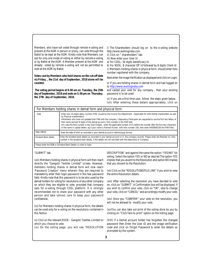Members, who have not voted through remote e-voting and present at the AGM in person or proxy, can vote through the Ballot to be kept at the AGM. Kindly note that Members can opt for only one mode of voting ie either by remote e-voting or by Ballot at the AGM. A Member present at the AGM and already voted by remote e-voting will not be permitted to vote at the AGM by Ballot.

**Votes cast by Members who hold shares on the cut-off date viz Friday, , the 21st day of September, 2018 alone will be counted.**

 **The voting period begins at 9.00 am on Tuesday, the 25th day of September, 2018 and ends on 5.00 pm on Thursday, the 27th day of September, 2018.**

I) The Shareholders should log on to the e-voting website http://www.evotingindia.com

ii) Click on " shareholders" tab.

iii) Now enter your User Id

a) For CDSL: 16 digits beneficiary Id

b) For NSDL: 8 character DP Id followed by 8 digits Client Id c) Members holding shares in physical form should enter folio number registered with the company.

Next enter the image Verification as displayed and click on Login.

v) If you are holding shares in demat form and had logged on to http://www.evotingindia.com

and casted your vote for any company , then your existing password is to be used.

vi) If you are a first time user, follow the steps given below. (vii) After entering these details appropriately, click on

|                       | For Members holding shares in demat form and physical form                                                                                                                                                                                                                                                                                                                                                                                                                                                                                                                                                                                                  |
|-----------------------|-------------------------------------------------------------------------------------------------------------------------------------------------------------------------------------------------------------------------------------------------------------------------------------------------------------------------------------------------------------------------------------------------------------------------------------------------------------------------------------------------------------------------------------------------------------------------------------------------------------------------------------------------------------|
| PAN                   | Enter your 10 digits alpha -numeric PAN issued by the Income Tax Department. (Applicable for both Demat shareholders as well<br>as Physical shareholders)<br># Members who have not updated their PAN with the company / Depository Participant are requested to use the first two letters of<br>their name and last 8 digits of the demat account / folio number in the PAN field.<br># In case the folio number is less than 8 digits, enter the applicable number of 0's before the number after the first two characters<br>of the name in capital letters, eq if your name is Ramesh Kumar with folio number 100, then enter RA00000100 the PAN Field. |
| Date of Birth         | Enter the date of birth as recorded in your demat account in dd/mm/yyyy format.                                                                                                                                                                                                                                                                                                                                                                                                                                                                                                                                                                             |
| Dividend Bank details | Enter the dividend bank details as recorded in your demat account or in the company records. Please enter the Member Id / folio<br>number in the dividend bank details, if the details are not recorded with the Depository or Company.                                                                                                                                                                                                                                                                                                                                                                                                                     |
|                       | Please enter the DOB or Dividend Bank Details in order to login.                                                                                                                                                                                                                                                                                                                                                                                                                                                                                                                                                                                            |

# "SUBMIT" tab.

(viii) Members holding shares in physical form will then reach directly the "Gangotri Textiles Limited" screen. However, members holding shares in demat form will now reach 'Password Creation' menu wherein they are required to mandatorily enter their login password in the new password field. Kindly note that this password is to be also used by the demat holders for voting for resolutions of any other company on which they are eligible to vote, provided that company opts for e-voting through CDSL platform. It is strongly recommended not to share your password with any other person and take utmost care to keep your password confidential.

(ix) For Members holding shares in physical form, the details can be used only for e-voting on the resolutions contained in this Notice.

(x) Click on the relevant EVSN – Gangotri Textiles Limited on which you choose to vote.

(xi) On the voting page, you will see "RESOLUTION

DESCRIPTION" and against the same the option "YES/NO" for voting. Select the option YES or NO as desired The option YES implies that you assent to the Resolution and option NO implies that you dissent to the Resolution.

(xii) Click on the "RESOLUTIONSFILE LINK" if you wish to view the entire Resolution details.

(xiii) After selecting the resolution you have decided to vote on, click on "SUBMIT'. A Confirmation box will be displayed. If you wish to confirm your vote, click on "OK", else to change your vote, click on "CANCEL" and accordingly modify your vote.

(xiv) Once you "CONFIRM" your vote on the resolution, you will not be allowed to modify your vote.

(xv)You can also take out print of the voting done by you by clicking on "Click here to print" option on the Voting page.

(XVI) If a Demat account holder has forgotten the changed password then Enter the User ID and the image verification code and click on Forgot Password & enter the details as prompted by the system.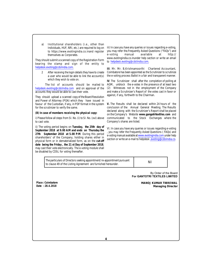a) Institutional shareholders (i.e., other than Individuals, HUF, NRI, etc.) are required to log on to https://www.evotingindia.co.inand register you may r<br>themselves as Corporates. themselves as Corporates.

They should submit a scanned copy of the Registration Form bearing the stamp and sign of the entity to helpdesk.evoting@cdslindia.com.

After receiving the login details they have to create a user who would be able to link the account(s) which they wish to vote on.

The list of accounts should be mailed to helpdesk.evoting@cdslindia.com and on approval of the accounts they would be able to cast their vote.

They should upload a scanned copy of the Board Resolution and Power of Attorney (POA) which they have issued in favour of the Custodian, if any, in PDF format in the system for the scrutinizer to verify the same.

**(B) In case of members receiving the physical copy:**

i) Please follow all steps from SI. No. (i) to SI. No. (xvi) above to cast vote.

ii) The voting period begins on **Tuesday, the 25th day of September 2018 at 9.00 A:M and ends on Thursday the 27th September 2018 at 5.00 P:M**. During this period shareholders' of the Company, holding shares either in physical form or in dematerialized form, as on the **cut-off date being the Friday , the 21 st Day of September 2018**, may cast their vote electronically. The e-voting module shall be disabled by CDSL for voting thereafter.

iii) In case you have any queries or issues regarding e-voting, you may refer the.Frequently Asked Questions ("FAQs") and manual available at http:// www.evotingindia.co.inunder help section or write an email to helpdesk.evoting@cdslindia.com.

**III**. Mr. Mr. B,Krishnamoorthi Chartered Accountant, Coimbatore has been appointed as the Scrutinizer to scrutinize the e-voting process Ballot in a fair and transparent manner.

**IV**. The Scrutinizer shall after the completion of polling at AGM, unblock the e-votes in the presence of at least two (2) Witnesses not in the employment of the Company and make a Scrutinizer's Report of the votes cast in favor or against, if any, forthwith to the Chairman.

**V.** The Results shall be declared within 24 hours of the conclusion of the Annual General Meeting. The Results declared along with the Scrutinizer's Report shall be placed on the Company's Website **www.gangotritextiles.com** and communicated to the Stock Exchanges where the Company's shares are listed.

VI. In case you have any queries or issues regarding e-voting , you may refer the Frequently Asked Questions ( FAQs) and e-voting manual available atwww.evotingindia.com under help section or write an e-mail to helpdesk .evoting@cdslindia.co.

The particulars of Directors seeking appointment/ re-appointment pursuant the particulars of birectors seeking appointment re-appointment pursuant [11] [2011] [2011] [2011] [2012] [201

By Order of the Board **For GANTOTRI TEXTILES LIMITED** 

**Place : Coimbatore Date : 28.4.2018**

**MANOJ KUMAR TIBREWAL Managing Director**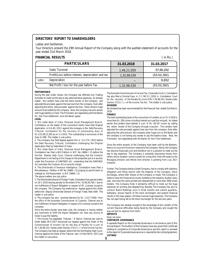# **DIRECTORS' REPORT TO SHAREHOLDERS**

#### Ladies and Gentlemen,

Your Directors present the 29th Annual Report of the Company along with the audited statement of accounts for the year ended 31st March 2018.

# **FINANCIAL RESULTS**

 $(in Rs)$ 

| <b>PARTICULARS</b>                                | 31.03.2018  | 31.03.2017  |
|---------------------------------------------------|-------------|-------------|
| Sales Turnover                                    | 1,46,21,059 | 57,66,292   |
| Profit/Loss before interest, depreciation and tax | 1,32,98,539 | (53,02,382) |
| Depreciation<br>Less:                             | $ -$        | 9.652       |
| Net Profit / loss for the year before Tax         | 1,32,98,539 | (53,02,382) |

#### **PERFORMANCE**

During the year under review, the Company has effected only Trading Activities to meet out the day to day administrative expenses. As already stated , the Lenders have sold the entire Assets of the Company and adjusted the proceeds against the loan due from the company. Even after adjusting the entire sale proceeds against the loan , there remains huge amount to be settled by the company. Now, the company has zero assets with huge liability on hand. The Promoters are negotiating with the Banks for One Time Settlement once the Banks agree.

**LEGAL**

1. M/s State Bank of India, Stressed Asset Management Branch, Coimbatore, as the leader of the consortium banks have filed Original Application in O.A 40 / 2013 against the company in the Debt Recovery Tribunal, Coimbatore for the recovery of outstanding dues of Rs 3,53,38,13,295 as on 1-3-2013. This outstanding is exclusives of the dues to IDBI. The matter is sub-judice.

2. The company has filed Appeal against this in S.A 174 / 2013 before the Debt Recovery Tribunal, Coimbatore challenging the Original Application filed by State Bank of India.

3. M/s State Bank of India, Stressed Asset Management Branch, Coimbatore has filed a Writ Petition in W.P. No 24864 / 15 before the Hon'ble Madras High Court, Chennai challenging that the Customs Department is not having a first charge on the properties put to e-auction under the Provisions of SARFAESI Act contending that the SARFAESI Act overrides the Customs Act on priority charge.

4. The Directorate of Revenue Intelligence, Coimbatore have filed a Miscellaneous Petition in MP No 24864 / 15 praying to permit them to implead as 3rd Respondent in W.P 24864 / 15.

The above matters are sub judice.

5. The Directorate General of Foreign Trade, Coimbatore has passed orders on 20-1-2016 levying penalty to the extent of Rs. 55,90,28,760 /- due to non-fulfillment of Export Obligation in respect of 45 Licenses issued to the company. The Company has preferred an Appeal against this Order before the Deputy Directorate General of Foreign Trade, New Delhi. The matter is sub-judice.

6. The company has also received demand for Rs. 1,53,77,000/- from the office of the Assistant Commissioner of Customs, Chennai due to non-fulfillment of Export Obligation in respect of 6 Licenses issued to the company.

Since the entire Assets have been sold, the company is having neither any machinery to fulfill the Export Obligation nor have any source of funds to pay the liability.

7. The Income Tax Appellate Tribunal, " A' Bench, Chennai has vide its Order dated 26-5-2017 dismissed our Appeal against the Order of the Commissioner of Income Tax for the levy of Penalty for a sum of Rs 7,30,48,152 / levied under Section 271(1) ( c ) of the Income Tax Act. The Company has filed an Appeal before the Hon'ble Madras High Court, Chennai against the Order of the Tribunal vide S.R No74974 / 2017 and the matter is sub-judice.

The Assistant Commissioner of Income Tax, Corporate Circle-2, Coimbatore has also filed a Criminal Case in C.C. NO 11 / 2018 in Coimbatore Court for the recovery of the Penalty for a sum of Rs 7,30,48,152 / levied under Section 271(1) (c) of the Income Tax Act. The matter is sub-judice. **DIVIDEND**

No dividend has been recommended for the Financial Year ended 31st March, 2018.

#### **FINANCE**

The total outstanding dues to the consortium of Lenders as on 31-3-2018 is more than Rs. 200 crores including interest accrued but not paid. As stated earlier, the Lenders have realized a sum of Rs. 191.05 crores by selling the entire Assets of the Company through e-auction. The Lenders have adjusted the sale proceeds against loan due from the company. Even after adjusting the said amount, the company owes huge sum to the Banks and the company is not having any assets to pay the balance dues. Now, the Promoters are negotiating with the Banks for One Time Settlement.

Since the entire assests of the Company have been sold by the Bankers, there is no source of income or revenue to the Company. Hence, the Company has become financially sick and therefore not in a position to meet out the day to day expenses. The Company is presently barrowing money from others which situation cannot sustain for a long time. Even the salary to the Managing Director and Whole time Director is pending from July 2017 onwards.

Further, The Company being a listed Company, has to comply with statutory obligation and filling returns with the Register of the Company, Stock Exchanges, where their Shares of the Company or listed. The Company is liable to have the Financial Accounts Audited by the statutory Auditor every year, and have the same printed and despatched to more than 4000 share holders. The Company finds it extreemly difficult to meet out the huge expenses for printing and despatching. Besides The Company has also to conduct Board Meetings once in three months and submit quarterly, halfyearly, annual reports to the stock exchangers and publish financial results in the news papers. All these involves huge expenses. The Company has not paid listing fee to the Stock Exchanger for the last two years.

The Company has already brought to the knowledge of the Lenders of the current financial difficulties being faced by the Company and sought the way out but no reponse from them.

**DEPOSITS**

Does not arise

**CORPORATE GOVERNANCE**

**5** A separate Report on the Corporate Governance is enclosed as part of this Annual Report. The Auditors of the Company have also given their certificate relating to compliance of Corporate Governance and this report is annexed to the report of Corporate Governance as is required by the Listing Agreement. **LISTINGS**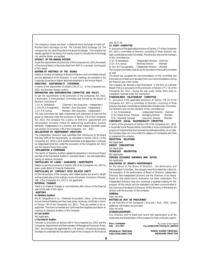The company's shares are listed in National Stock Exchange of India Ltd , Mumbai Stock Exchange Ltd and The Calcutta Stock Exchange Ltd. The company has not paid listing fee to the above Exchanges. The company has already applied for de-listing of its equity shares to Calcutta Stock Exchange Ltd and the Orders are awaited.

**EXTRACT OF THE ANNUAL RETURN**

AS PASSET OF THE ANNUAL RETURN<br>As per the requirements of provisions of the Companies Act, 2013, the extract (a) Sri, R.P. Joshua of the Annual Return in the prescribed Form MGT-9 is annexed forming part of this report.

**NUMBER OF MEETINGS OF THE BOARD.**

Details of number of meetings of Board of Directors and Committees thereof and the attendance of the Directors in such meetings are provided in the Corporate Governance Report attached elsewhere in the Annual Report. **DIRECTORS' RESPONSIBILTY STATEMENT.**

In terms of the requirement of Section 134 (3) (c) of the Companies Act, 2013, the Directors hereby confirm:

**NOMINATION AND REMUNERATION COMMITTEE AND POLICY.**

As per the requirements of the provisions of the Companies Act, 2013, a Nomination & Remuneration Committee was formed by the Board of Directors consisting of

| 1. Sri. N. Venkatesan                 | - Chairman (Non-Executive - Independent)     |
|---------------------------------------|----------------------------------------------|
| $A$ $C_{n+1}$ $M M C_{n+1}$ $A_{n+2}$ | Advantage / New Freematics - Technological V |

2. Smt. M.V.Suryaprabha - Member ( Non-Executive – Independent )<br>3. Sri. R.P.Joshua - Member ( Non-Executive – Independent ) - Member ( Non-Executive – Independent )

3. Srl. R.P.Joshua - Member (Non-Executive – independent ) srl. N.Venkatesan<br>The said committee has been empowered and authorized to exercise the and all advant times Ti power as entrusted under the provisions of Section 178 of the Companies 3) Sri. Mohanlal Tibrewal Act, 2013. The Company has a policy on Directors' appointment and remuneration including criteria for determining qualification, positive attributes, independence of a Director and other matters provided under sub-section (3) of Section 178 of the Companies Act, 2013 .

**DECLARATION BY INDEPENDENT DIRECTORS**

The Independent Directors have submitted their disclosures to the Board that they fulfill all the requirements as stipulated in Section 149 (6 ) of the Companies Act, 2013 so as to qualify themselves to be appointed / continued as Independent Directors under the provisions of the Companies Act, 2013 and the relevant Rules there under.

 **EXPLANATION & COMMENDS**

The reports of Statutory Auditors appearing elsewhere in the Annual Report and that of the Secretarial Auditors ( annexed hereto ) are self-explanatory having no adverse comments.

**PARTICULARS OF LOANS / GUARANTEE / INVESTMENTS**

Details as per the provisions of Section 186 of the Companies Act, 2013 is given under Notes to Financial Statements.

**PARTICULARS OF CONTRACT WITH RELATED PARTY**

All the transactions of the company with related parties are at arm's length and have taken place in the ordinary course of business. Provisions of Section 188 of the Companies Act, 2013 is not applicable.

**MATERIAL CHANGES**

There is no material changes or committments after closure of the financial year till the date of this report.

 **AUDITORS**

**a) Statutory Auditors**

M/s.M. Gangadhran & Co , Chartered Accountants, retires at the ensuing Annual General Meeting and they have given necessary certificate in terms of Section 139 of the Companies Act, 2013. They are entitled to be reappointed. They have consented and confirmed their eligibility and desire to continue as Statutory Auditors of the Company.

**b) Cost Auditor**

Not Applicable

**c) Secretarial Auditor.**

Pursuant to provisions of Section 204 of the Companies Act, 2013 and the Companies (Appointment and Remuneration of Managerial Personnel ) Rules, 2014, the Company has appointed Mrs. V.M.Vennila, a Practicing Company<br>Secretary to undertake the Secretarial Audit of the Company for the financial MOHANLAL TIBREWAL Secretary to undertake the Secretarial Audit of the Company for the financial

year 2017-18.

**13. AUDIT COMMITTEE**

In pursuance of the applicable provisions of Section 177 of the Companies Act, 2013 a committee of Directors consisting of three Directors has been constituted as Audit Committee. The Directors who are the members of this committee are

- Independent Director - Chairman

- Nominee Director - Member

3) Smt .M.V Suryaprabha - Independent Director - Member

The Company Secretary shall act as the Secretary of the Audit Committee as well.

The Board has accepted the recommendations of the committee and there were no incidences of deviation from such recommendations during the financial year under review.

The company has devised a Vigil Mechanism in the form of a Whistle Blower Policy in pursuance of the provisions of Section 177 ( 10) of the Companies Act, 2013 . During the year under review, there were no complaints received under this mechanism.

**STAKEHOLDERS RELATIONSHIP COMMITTEE**

In pursuance of the applicable provisions of Section 178 (5) of the Companies Act, 2013 a committee of Directors consisting of three Directors has been constituted as Stakeholders Relationship Committee. The Directors who are the members of this committee are

- Independent Director - Chairman

2) Sri. Manoj Kumar Tibrewal - Managing Director - Member - Executive Director - Member

**CORPORATE SOCIAL RESPONSIBILITY COMMITTEE** In terms of the provisions of Section 135 of the Companies Act, 2013, a Corporate Social Responsibility Committee is to be constituted for the purpose of implementing the Corporate Social Responsibility. As on date,

the Company does not come under the category of Companies who have to implement this scheme. **INDUSTRIAL RELATIONS**

Not Applicable

**ENERGY CONSUMPTION**

Not Applicable

**TECNOLOGY ABSORPTION**

Not Applicable

**FOREIGN EXCHANGE EARNINGS AND OUTGO** Not Applicable

**EVALUATION OF BOARD's PERFORMANCE**

On the advise of the Board of Directors , the Nomination and Remuneration Committee , the company have formulated the criteria for the evaluation of the performance of Board of Directors Independent Directors, Non-Independent Directors and the Chairman of the Board. Based on that performance, evaluation has been undertaken. The Independent Directors have also convened a separate meeting for this purpose. All the results and the evaluation has been communicated to the Chairman of the Board of Directors. All the Directors of the Board are familiar with the business of the company.

**GENERAL**

Does not arise.

**MATTERS AS MAY BE PRESCRIBED**

As per Rule 8(5) of the Companies ( Accounts ) Rule, 2014 certain additional information are provided.

Does not arise.

**ACKNOWLEDGEMENT.**

Your Directors wish to thank and record their appreciation to all the employees and Shareholders of the company for their continued support.

**Place : Coimbatore**

**Date : 13.5.2017** By Order of the Board **For GANGOTRI TEXTILES LIMITED**

 $EXECUTIVE DIRECTOR$ 

**MANOJ KUMAR TIBREWAL**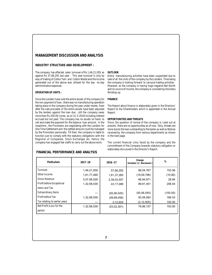# **MANAGEMENT DISCUSSION AND ANALYSIS**

# **INDUSTRY STRUCTURE AND DEVELOPMENT :**

The company has effected sales turnover of Rs 1,46,21,059 as **OUTLOOK** against Rs 57,66,292 last year . This year turnover is only by way of trading of Cotton Yarn and Cotton Waste and the income generated out of the above was utilized for the day –to-day administrative expenses.

# **OPERATION OF UNITS :**

Since the Lenders have sold the entire assets of the company for the non-payment of loan , there was no manufacturing operation taking place in the company during the year under review. Even after the sale proceeds of the entire assets have been adjusted by the lenders against the loan due , still the company owes more than Rs 200.00 crores as on 31-3-2018 including interest accrued but not paid. The company has no assets on hand. to sell and make the payment for the balance loan amount. In the meantime , the Promoters are negotiating with the Lenders for One Time Settlement and the settled amount could be managed by the Promoters personally. Till then, the company is liable to function just to comply with the statutory obligations with the Registrar of Companies, Stock Exchanges etc. Hence, the company has engaged few staffs to carry out the above work.

# **FINANCIAL PERFORMANCE AND ANALYSIS**

Entire manufacturing activities have been suspended due to sale of all the units of the company by the Lenders. Time being the company is looking forward to carryout trading activities . However, as the company is having huge negative Net Worth and no source of Income, the company is considering Voluntary Winding-up.

## **FINANCE**

The Report about finance is elaborately given in the Directors' Report to the Shareholders which is appended in the Annual Report.

#### **OPPORTUNITIES AND THREATS**

Since, the question of revival of the company is ruled out at present, there are no opportunities as of now . Only, threats are more due to the loan outstanding to the banks as well as Notices received by the company from various departments as shown in the next page.

The current financial crisis faced by the company and the committment of the Company towards statutory obligation or elaborately discussed in the Director's Report.

| <b>Particulars</b>            | 2017-18     | 2016-17       | Change<br>Increase (+) Decrease(-) | %        |
|-------------------------------|-------------|---------------|------------------------------------|----------|
| Turnover                      | 1,46,21,059 | 57,66,292     | 88,54,767                          | 153.56   |
| Other Income                  | 1,61,77,469 | 1,81,37,265   | (19, 59, 796)                      | (10.80)  |
| <b>Gross Revenue</b>          | 3,07,98,528 | 2,39,03,557   | 68,94,971                          | 28.84    |
| Profit before Exceptional     | 1,32,98,539 | 43,17,089     | 89,81,451                          | 208.04   |
| Items and Tax                 |             |               |                                    |          |
| <b>Extraordinary Items</b>    | ---         | (93,06,545)   | (93,06,545)                        | (100.00) |
| Profit before Tax             | 1,32,98,539 | (49, 89, 456) | 83,09,083                          | 166.53   |
| Tax relating to earlier years | ---         | 3,12,925      | (3, 12, 925)                       | 100.00   |
| Net Profit /Loss for the      | 1,32,98,539 | (53,02,381)   | 79,96,157                          | 150.80   |
| period                        |             |               |                                    |          |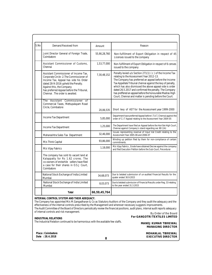| S.No                                                                 | Demand Received from                                                                                                                                                                                                                                                          | Amount       | Reason                                                                                                                                                                                                                                                                                                                                                                                                                                                                  |  |
|----------------------------------------------------------------------|-------------------------------------------------------------------------------------------------------------------------------------------------------------------------------------------------------------------------------------------------------------------------------|--------------|-------------------------------------------------------------------------------------------------------------------------------------------------------------------------------------------------------------------------------------------------------------------------------------------------------------------------------------------------------------------------------------------------------------------------------------------------------------------------|--|
|                                                                      | Joint Director General of Foreign Trade,<br>Coimbatore                                                                                                                                                                                                                        | 55,90,28,760 | Non-fulfillment of Export Obligation in respect of 45<br>Licenses issued to the company                                                                                                                                                                                                                                                                                                                                                                                 |  |
|                                                                      | Assistant Commissioner of Customs,<br>Chennai                                                                                                                                                                                                                                 | 1,53,77,000  | Non-fulfillment of Export Obligation in respect of 6 censes<br>issued to the company                                                                                                                                                                                                                                                                                                                                                                                    |  |
|                                                                      | Assistant Commissioner of Income Tax.<br>Corporate Circle -2. The Commissioner of<br>Income Tax, Appeal has vide his Order<br>dated 28-9-2016 upheld the Penalty.<br>Against this, the Company<br>has preferred Appeal before the Tribunal,<br>Chennai. The order is awaited. | 7,30,48,152  | Penalty levied u/s Section 271(1) (c) of the Income Tax<br>relating to the Assessment Year 2012-13.<br>The Company has preferred an appeal before the Income<br>Tax Appellate Tribunal chennai against the levy of penalty,<br>which has also dismissed the above appeal vide is order<br>dated 26.5.2017 and confirmed the penalty. The Company<br>has preffered an appeal before the honourable Madras High<br>Court, Chennai and matter is pending before the Court. |  |
| The Assistant Commissioner of<br>Commercial Taxes, Mettupalayam Road |                                                                                                                                                                                                                                                                               |              |                                                                                                                                                                                                                                                                                                                                                                                                                                                                         |  |
|                                                                      | Circle, Coimbatore                                                                                                                                                                                                                                                            | 20.06.535    | Short levy of AST for the Assessment year 1999-2000                                                                                                                                                                                                                                                                                                                                                                                                                     |  |
| Income Tax Department                                                |                                                                                                                                                                                                                                                                               | 5,85,000     | Department have preferred Appeal before I.T.A.T, Chennai against the<br>order of C.I.T Appeal relating to the Assessment Year 2004-05                                                                                                                                                                                                                                                                                                                                   |  |
|                                                                      | Income Tax Department                                                                                                                                                                                                                                                         | 1,25,000     | The Department have filed an Appeal before the Hon'ble High Court<br>Chennai against Company's stand regarding sec 80 (1A)                                                                                                                                                                                                                                                                                                                                              |  |
|                                                                      | Maharashtra Sales Tax Department                                                                                                                                                                                                                                              | 32,46,000    | Issues representing reversal of Input Vat Credit relating to the<br>Assessment Year 2005-06 and 2006-07                                                                                                                                                                                                                                                                                                                                                                 |  |
|                                                                      | M/s Think Capital                                                                                                                                                                                                                                                             | 93,86,000    | Winding up petition filed by them for non-compliance of certain<br>commitments.                                                                                                                                                                                                                                                                                                                                                                                         |  |
|                                                                      | M/s Vijay Fabrics                                                                                                                                                                                                                                                             | 1,18,000     | M/s Vijay Fabrics, Erode have obtained Decree against the company<br>and filed Execution Petition before the Sub-Court, Perundurai                                                                                                                                                                                                                                                                                                                                      |  |
|                                                                      | The company has sold its vacant land at<br>Kalappatty for Rs 1.62 crores. The<br>co-owners of erstwhile sellers have filed<br>a case for their shares in O.S.J Court.<br>Coimbatore                                                                                           |              |                                                                                                                                                                                                                                                                                                                                                                                                                                                                         |  |
|                                                                      | National Stock Exchange of India Limited<br>Mumbai                                                                                                                                                                                                                            | 34,68,073    | Due to belated submission of un-audited Financial Results for the<br>quater ended 30.9.2015                                                                                                                                                                                                                                                                                                                                                                             |  |
|                                                                      | National Stock Exchange of India Limited<br>Mumbai                                                                                                                                                                                                                            | 8,03,073     | Due to belated submission of Financial Results under Reg. 33 relating<br>to the year ended 31.3.2015                                                                                                                                                                                                                                                                                                                                                                    |  |
|                                                                      | Total                                                                                                                                                                                                                                                                         | 66,59,45,764 |                                                                                                                                                                                                                                                                                                                                                                                                                                                                         |  |

By Order of the Board The Company has appointed M/s M.Gangadharan & Co as Statutory Auditors of the Company and they audit the adequacy and the effectiveness of the internal controls prescribed by the Management and wherever necessary suggests improvements. The Audit Committee of the Board of Directors periodically review the financial positions, audit plans, internal audit reports adequacy of internal controls and risk management.

**INDUSTRIAL RELATIONS**

The Industrial Relation continued to be harmonious with the available few staffs.

**For GANGOTRI TEXTILES LIMITED MANOJ KUMAR TIBREWAL**

**Place : Coimbatore Date : 28.4.2018**

**8**

 **MOHANLAL TIBREWAL EXECUTIVE DIRECTOR**

 **MANAGING DIRECTOR**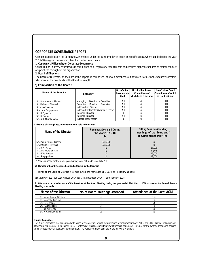# **CORPORATE GOVERNANCE REPORT**

Companies policies on the Corporate Governance under the due compliance report on specific areas, where applicable for the year 2017-18 are given here under, classified under broad heads.

**1. Company's Philosophy on Corporate Governance :**

Gangotri puts in every effort towards compliance of all regulatory requirements and ensures highest standards of ethical conduct are practiced throughout the organization.

**2. Board of Directors :**

The Board of Directors, on the date of this report is comprised of seven members, out of which five are non-executive Directors who account for two-thirds of the Board's strength.

**a) Composition of the Board :**

| Name of the Director      | Category                              | No. of other<br>Directorship<br>Held | No.of. other Board<br>Committees of<br>which he is a member | No.of. other Board<br>Committees of which<br>he is a Chairman |
|---------------------------|---------------------------------------|--------------------------------------|-------------------------------------------------------------|---------------------------------------------------------------|
| Sri. Manoj Kumar Tibrewal | Director - Executive<br>Managing      | Nil                                  | Nil                                                         | Nil                                                           |
| Sri. Mohanlal Tibrewal    | Director - Executive<br>Executive     | Nil                                  | Nil                                                         | Nil                                                           |
| Sri.N.Venkatesan          | Independent Director                  | Nil                                  | Nil                                                         | Nil                                                           |
| Smt. M.V.Suryaprabha      | Independent Director (Woman Director) | Nil                                  | Nil                                                         | Nil                                                           |
| Sri. R.P.Joshua           | Nominee Director                      |                                      | Nil                                                         | Nil                                                           |
| Sri. R.Elango             | Nominee Director                      | Nil                                  | Nil                                                         | Nil                                                           |
| Sri, A.R. Muralidharan    | Independent Director                  |                                      | Nil                                                         | Nil                                                           |

**b ) Details of Sitting Fees, remuneration etc paid to Directors:**

| Name of the Director      | Remuneration paid During<br>the year 2017 - 18<br>(Rs) | Sitting Fees for Attending<br>meetings of the Board and /<br>or Committee thereof (Rs) |
|---------------------------|--------------------------------------------------------|----------------------------------------------------------------------------------------|
| Sri. Manoj Kumar Tibrewal | $9,00,000*$                                            | Nil                                                                                    |
| Sri. Mohanlal Tibrewal    | $9.00.000*$                                            | Nil                                                                                    |
| Sri, R.P. Joshua          | Nil                                                    | 15,000                                                                                 |
| Sri. A.R. Muralidharan    | Nil                                                    | 6.000                                                                                  |
| Sri. N.Venkatesan         | Nil                                                    | 19,000                                                                                 |
| Ms. Suryaprabha           | Nil                                                    | 18,000                                                                                 |

\* Provision made for the whole year, but payment not made since July 2017

**c) Number of Board Meetings held and attended by the Directors :**

Meetings of the Board of Directors were held during the year ended 31-3-2018 on the following dates.

(1) 13th May, 2017 (2) 10th August, 2017 (3) 14th November, 2017 (4) 19th January, 2018

**ii. Attendance recorded of each of the Directors at the Board Meeting during the year ended 31st March, 2018 as also of the Annual General Meeting is as under.**

| Name of the Director      | No of Board Meetings Attended | Attendance at the Last AGM |
|---------------------------|-------------------------------|----------------------------|
| Sri. Manoi Kumar Tibrewal |                               | Yes                        |
| Sri. Mohanlal Tibrewal    |                               | Yes                        |
| Sri, R.P. Joshua          |                               | No                         |
| Sri. N.Venkatesan         |                               | Yes                        |
| Ms. Suryaprabha           |                               | No                         |
| Sri, A.R. Muralidharan    |                               | No                         |
|                           |                               |                            |

**3.Audit Committee**

The Audit Committee was constituted with terms of reference in line with the provisions of the Companies Act, 2013, and SEBI ( Listing Obligation and Disclosure requirement ) Regulations 2015. The terms of reference include review of financial statements , internal control system, accounting policies and practices internal audit and administration. The Audit Committee consists of the following Members.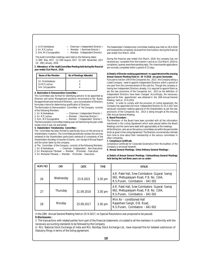1. Sri.R.Venkatesan — Chairman (Independent Director)<br>2. Sri. R.P.Joshua — Member (Nominee Director) 2. Sri. R.P.Joshua — Member (Nominee Director)<br>3. Smt. M.V.Survaprabha — Member (Independent Director) - Member (Independent Director)

The Audit Committee meetings were held on the following dates: 1) 30th May, 2017 (2) 10th August, 2017 (3) 14th November, 2017 (4) 19th January, 2018

**ii. Attendance of the Audit Committee Meeting held during the financial year ended 31st March, 2018.**

| Name of the Member                   | No of Meetings Attended |
|--------------------------------------|-------------------------|
| Sri. N.Venkatesan<br>Sri.R.P. Joshua |                         |
| Smt.Suryaprabha                      |                         |
|                                      |                         |

**4. Nomination & Remuneration Committee :**

This Committee was formed for identifying persons to be appointed as Directors and senior Management positions recommend to the Board, the appointment and removal of Directors , carry out evaluation of Directors, formulate criteria for determining qualification of Directors

The Nomination & Remuneration Committee of the Company consists of the following Members.

- 1. Sri. N.Venkatesan Chairman (Independent Director)<br>2. Sri. R.P.Joshua Member (Nominee Director)
	- Member ( Nominee Director )

3. Smt.. M.V.Suryaprabha — Member ( Independent Director ) The Remuneration Committee meeting was not held during the year under

review since it was not warranted.

**5. Stakeholders' Relationship Committee :**

This Committee has been formed to specifically focus on the services to shareholders/ Investors. The Committee periodically reviews the services rendered to the Shareholders particularly redressal of complaints of the Shareholders like delay in transfer of shares , non-receipt of Annual Report and the action taken by the company.

a) The Committee of the Company consists of the following Members.<br>1. Sri. N.Venkatesan — Chairman (Independent – Non-Executive) - Chairman (Independent – Non-Executive)

2. Sri. Manojkumar Tibrewal — Member (Promoter – Executive)

3. Sri. Mohanlal Tibrewal — Member (Promoter – Executive)

The Stakeholder's Relationship Committee meeting was held on 28.4.2018 and reviewed the complaints received from the Investors during the financial year ended 31st March, 2018.

During the financial year ended 31st March, 2018, the company has not received any- complaint from the Investor's and as on 31st March, 2018 no complaints / queries were there pending reply. The share transfer applications are normally completed within a period of 15 days.

**b) Details of Director seeking appointment / re-appointment at the ensuing Annual General Meeting fixed on 28 -9-2018 are given hereunder.**

Pursuant to Section 149 of the Companies Act, 2013 , the Company being a Listed Company need to appoint Independent Directors within a period of one year from the commencement of the said Act. Though the company is having two Independent Directors already, it is required to appoint them as per the new provisions of the Companies Act, 2013 as the definition of Independent Directors have been changed .Accordingly, the necessary approval for their appointment was obtained in the 26th Annual General Meeting held on 23-9-2015.

Further, In order to comply with the provision of Listing Agreement, the Company has appointed one more Independent Director on 14-2-2017 and necessary resolution seeking approval of the Shareholders as per the new provisions of the Companies Act, 2013 is being brought at the ensuing 29th Annual General Meeting.

**6. Board Procedure :**

The Members of the Board have been provided with all the information mentioned in the Listing Agreement which were placed before the Board Meetings and the same were dealt with appropriately at the meetings.

All the Directors, who are on the various committees are within the permissible limits as given in the Listing Agreement. The Directors concerned also intimate from time to time about their membership in the various committees in other companies.

**7. Compliance Certificate**

Compliance Certificate for Corporate Governance from the Auditors of the Company is enclosed herewith.

**8. Annual General Meetings / Extra Ordinary General Meetings :**

**a) Details of Annual General Meetings / Extraordinary General Meetings held during the last three years are as under:**

| AGM / NO | <b>DAY</b> | DATE       | <b>TIME</b> | <b>VENUE</b>                                                                                                                |
|----------|------------|------------|-------------|-----------------------------------------------------------------------------------------------------------------------------|
| 26       | Wednesday  | 23.9.2015  | 3.30 pm     | A.R. Patel Hall, Sree Coimbatore Gujarat Samaj<br>662, Mettupalayam Road, P.B. No. 1164,<br>R.S.Puram, Coimbatore - 641 002 |
| 27       | Thursday   | 21.09.2016 | $3.30$ pm   | A.R. Patel Hall, Sree Coimbatore Gujarat Samaj<br>662, Mettupalayam Road, P.B. No. 1164,<br>R.S.Puram, Coimbatore - 641 002 |
| 28       | Monday     | 25.09.2017 | 3.30 pm     | Mini Air - conditioned Hall<br>Rajasthani Sangh, D.B. Road,<br>R.S.Puram, Coimbatore - 641 002                              |

In the 28th Annual General Meeting held on 25-9-2017, no Special Resolutions was proposed to be passed. **9.Disclosures :**

i) The transactions with related parties form part of the financial statements circulated to all the members in conformity with the necessary accounting standards to be followed by the Company

ii) M/s. National Stock Exchange of india and M/s. Bombay Stock Exchange Ltd., have imposed fine for belated submission of Statutory filings in terms of the listing agreement.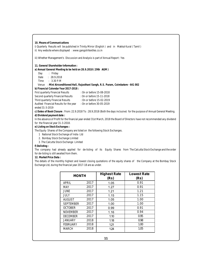**10. Means of Communications**

i) Quarterly Results will be published in Trinity Mirror (English) and in Makkal Kural (Tamil)

ii) Any website where displayed : www.gangotritextiles.co.in

iii) Whether Management's Discussion and Analysis is part of Annual Report : Yes

**11. General Shareholder Information :**

**a) Annual General Meeting to be held on 28.9.2018 ( 29th AGM )**

Day : Friday

Date : 28.9.2018

Time : 3.30 P.M

Venue : **Mini Airconditioned Hall, Rajasthani Sangh, R.S. Puram, Coimbatore - 641 002**

**b) Financial Calendar Year 2017-2018 :**

First quarterly Financial Results : On or before 15-08-2018

Second quarterly Financial Results : On or before 15-11-2018

Third quarterly Financial Results : On or before 15-02-2019

Audited Financial Results for the year : On or before 30-05-2019

ended 31-3-2019

**c) Dates of Book Closure** : From: 22.9.2018 To : 28.9.2018 (Both the days inclusive) for the purpose of Annual General Meeting. **d) Dividend payment date :**

In the absence of Profit for the financial year ended 31st March, 2018 the Board of Directors have not recommended any dividend

for the financial year 31-3-2018.

**e) Listing on Stock Exchanges :**

The Equity Shares of the Company are listed on the following Stock Exchanges.

1 National Stock Exchange of India Ltd

2. Bombay Stock Exchange Limited

3 .The Calcutta Stock Exchange Limited

**f) Delisting :**

The company had already applied for de-listing of its Equity Shares from The Calcutta Stock Exchange and the order for de-listing is still awaited from them.

**12. Market Price Data :**

The details of the monthly highest and lowest closing quotations of the equity shares of the Company at the Bombay Stock Exchange Ltd, during the financial year 2017-18 are as under.

| <b>MONTH</b>     |      | <b>Highest Rate</b><br>(Rs) | Lowest Rate<br>(Rs) |
|------------------|------|-----------------------------|---------------------|
| APRIL            | 2017 | 1.05                        | 0.91                |
| <b>MAY</b>       | 2017 | 1.27                        | 0.91                |
| <b>JUNE</b>      | 2017 | 1.21                        | 1.21                |
| JULY             | 2017 | 1.15                        | 1.15                |
| <b>AUGUST</b>    | 2017 | 1.05                        | 1.00                |
| <b>SEPTEMBER</b> | 2017 | 1.00                        | 1.00                |
| <b>OCTOBER</b>   | 2017 | 0.99                        | 0.91                |
| <b>NOVEMBER</b>  | 2017 | 1.16                        | 0.94                |
| <b>DECEMBER</b>  | 2017 | 1.10                        | 0.95                |
| <b>JANUARY</b>   | 2018 | 1.18                        | 0.98                |
| <b>FEBRUARY</b>  | 2018 | 1.21                        | 1.00                |
| <b>MARCH</b>     | 2018 | 1.24                        | 1.05                |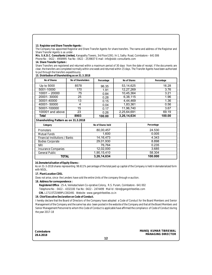**13. Registrar and Share Transfer Agents :**

The Company has appointed Registrar and Share Transfer Agents for share transfers. The name and address of the Registrar and Share Transfer Agents is as under.

**M/s. S.K.D.C. Consultants Limited,** Kanapathy Towers, 3rd Floor1391 / A-1, Sathy Road, Coimbatore – 641 006

Phone No : 0422 – 4958995 Fax No : 0422 – 2539837 E-mail : info@skdc-consultants.com

**14. Share Transfer System :**

Share Transfers are registered and returned within a maximum period of 30 days from the date of receipt. If the documents are clear, the transfers are completed normally within one week and returned within 15 days. The Transfer Agents have been authorized to put through the transfers expeditiously.

**15. Distribution of Shareholding as on 31.3.2018**

| No of Shares     | No of Shareholders | Percentage | No of Shares | Percentage |
|------------------|--------------------|------------|--------------|------------|
| Up to 5000       | 8578               | 96.35      | 53,14,625    | 16.28      |
| 5001-10000       | 170                | 1.91       | 12,27,269    | 3.76       |
| $10001 - 20000$  | 75                 | 0.84       | 10,45,364    | 3.21       |
| 20001-30000      | 25                 | 0.28       | 6,38,115     | 1.96       |
| 30001-40000      | 13                 | 0.15       | 4,44,469     | 1.36       |
| 40001-50000      | 4                  | 0.04       | 1,83,361     | 0.56       |
| 50001-100000     | 15                 | 0.17       | 11,96,740    | 3.67       |
| 100001 and above | 23                 | 0.26       | 2,25,64,691  | 69.19      |
| Total            | 8903               | 100.00     | 3,26,14,634  | 100.00     |

**Shareholding Pattern as on 31.3.2018**

| Category                              | No of Shares held | Percentage |
|---------------------------------------|-------------------|------------|
|                                       |                   |            |
| <b>Promoters</b>                      | 80,00,457         | 24.530     |
| <b>Mutual Funds</b>                   | 1,600             | 0.005      |
| <b>Financial Institutions / Banks</b> | 14, 16, 473       | 4.343      |
| <b>Bodies Corporate</b>               | 29,01,930         | 8.898      |
| <b>NRI</b>                            | 76.764            | 0.235      |
| Insurance Companies                   | 12,02,000         | 3.685      |
| <b>General Public</b>                 | 1,90,15,410       | 58.304     |
| TOTAL                                 | 3,26,14,634       | 100.000    |

**16.Dematerialisation of Equity Shares :**

As on 31-3-2018 shares representing 98.611% percentage of the total paid up capital of the Company is held in dematerialized form with NSDL.

**17. Plant Location CDSL**

Does not arise, since the Lenders have sold the entire Units of the company through e-auction.

**18. Address for correspondence :**

 **Registered Office** : 25-A, Venkatachalam Co-oprative Colony, R.S. Puram, Coimbatore - 641 002

Telephone No : 0422 – 4332100 Fax No : 0422 – 2474499 Mail Id : tibre@gangotritextiles.com

 **CIN.** L17115TZ1989PLC002491 Website : www.gangotritextiles.co.in

**19. Chief Executive Declaration on Code of Conduct.**

I hereby declare that the Board of Directors of the Company have adopted a Code of Conduct for the Board Members and Senior Management of the Company and the same has also been posted in the website of the Company and that all the Board Members and Senior Management Personnel to whom this Code of Conduct is applicable have affirmed the compliance of Code of Conduct during the year 2017-18

**Coimbatore 28.4.2018**

**MANOJ KUMAR TIBREWAL MANAGING DIRECTOR**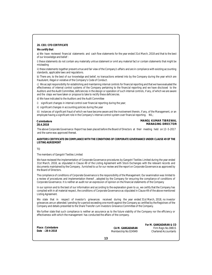# **20. CEO / CFO CERTIFICATE**

**We certify that**

a) We have reviewed financial statements and cash flow statements for the year ended 31st March, 2018 and that to the best of our knowledge and belief :

i) these statements do not contain any materially untrue statement or omit any material fact or contain statements that might be misleading

ii) these statements together present a true and fair view of the Company's affairs and are in compliance with existing accounting standards, applicable laws and regulations.

b) There are, to the best of our knowledge and belief, no transactions entered into by the Company during the year which are fraudulent, illegal or violative of the Company's Code of Conduct.

c) We accept responsibility for establishing and maintaining internal controls for financial reporting and that we have evaluated the effectiveness of internal control systems of the Company pertaining to the financial reporting and we have disclosed to the Auditors and the Audit Committee, deficiencies in the design or operation of such internal controls, if any, of which we are aware and the steps we have taken or propose to take to rectify these deficiencies.

d) We have indicated to the Auditors and the Audit Committee

i) significant changes in internal control over financial reporting during the year;

ii) significant changes in accounting policies during the year

iii) instances of significant fraud of which we have become aware and the involvement therein, if any, of the Management, or an employee having a significant role in the Company's internal control system over financial reporting. NIL;

**Coimbatore 28.4.2018**

**MANOJ KUMAR TIBREWAL MANAGING DIRECTOR**

The above Corporate Governance Report has been placed before the Board of Directors at their meeting held on 13 -5-2017 and the same was approved thereat.

**AUDITORS CERTIFICATE ON COMPLIANCE WITH THE CONDITIONS OF CORPORATE GOVERNANCE UNDER CLAUSE 49 OF THE LISTING AGREEMENT**

TO

The members of Gangotri Textiles Limited

We have reviewed the implementation of Corporate Governance procedures by Gangotri Textiles Limited during the year ended 31st March, 2018, as stipulated in Clause 49 of the Listing Agreement with Stock Exchanges with the relevant records and documents maintained by the Company , furnished to us for our review and the report on Corporate Governance as approved by the Board of Directors.

The compliance of conditions of Corporate Governance is the responsibility of the Management. Our examination was limited to a review of procedures and implementation thereof , adopted by the Company for ensuring the compliance of conditions of Corporate Governance. It is neither an audit nor an expression of opinion on the financial statements of the Company

In our opinion and to the best of our information and according to the explanation given to us, we certify that the Company has complied with in all material respect, the conditions of Corporate Governance as stipulated in Clause 49 of the above mentioned Listing Agreement.

We state that in respect of investor's grievances received during the year ended 31st March, 2018, no investor grievances are un-attended / pending for a period exceeding one month against the Company as certified by the Registrars of the Company and details presented to the Share Transfer cum Investors Grievance Committee of the Company.

We further state that such compliance is neither an assurance as to the future viability of the Company nor the efficiency or effectiveness with which the management has conducted the affairs of the company.

|                   | FOL 1                |
|-------------------|----------------------|
| Place: Coimbatore | CA M. GANGADARAN     |
| Date: 28-4-2018   | Membership No:024949 |
|                   |                      |

**For M. GANGADARAN & CO** Firm Regn.No.0881S Chartered Accountants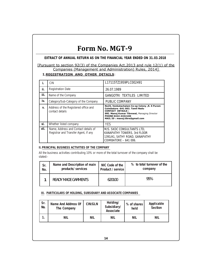# **Form No. MGT-9**

**EXTRACT OF ANNUAL RETURN AS ON THE FINANCIAL YEAR ENDED ON 31.03.2018**

# [Pursuant to section 92(3) of the Companies Act,2013 and rule 12(1) of the Companies (Management and Administration) Rules, 2014]

# **I.REGISTRATION AND OTHER DETAILS**:

| Ť.   | <b>CIN</b>                                                                   | L17115TZ1959PLC002491                                                                                                                                                                                               |
|------|------------------------------------------------------------------------------|---------------------------------------------------------------------------------------------------------------------------------------------------------------------------------------------------------------------|
| ii.  | <b>Registration Date</b>                                                     | 26.07.1989                                                                                                                                                                                                          |
| iii. | Name of the Company                                                          | <b>GANGOTRI TEXTILES LIMITED</b>                                                                                                                                                                                    |
| iv.  | Category/Sub-Category of the Company                                         | PUBLIC COMPANY                                                                                                                                                                                                      |
| V.   | Address of the Registered office and<br>contact details                      | No25, Venkatachalam Co-op Colony , R. S Puram<br>Coimbatore -641 002. Tamil Nadu<br><b>CONTACT DETAILS:</b><br>SRI. Manoj Kumar Tibrewal, Managing Director<br>PHONE 0422-4332100<br>MAIL ID: manoj.tibre@gmail.com |
| vi.  | Whether listed company                                                       | <b>YFS</b>                                                                                                                                                                                                          |
| vii. | Name, Address and Contact details of<br>Registrar and Transfer Agent, if any | M/S. SKDC CONSULTANTS LTD,<br>KANAPATHY TOWERS, 3rd FLOOR<br>1391/A1, SATHY ROAD, GANAPATHY<br>COIMBATORE - 641 006.                                                                                                |

# **II.PRINCIPAL BUSINESS ACTIVITIES OF THE COMPANY**

All the business activities contributing 10% or more of the total turnover of the company shall be stated:-

| Sr. | Name and Description of main | NIC Code of the   | % to total turnover of the |  |
|-----|------------------------------|-------------------|----------------------------|--|
| No. | products/ services           | Product / service | company                    |  |
|     | READY MADE GARMENTS          | 620100            | 95%                        |  |

**III. PARTICULARS OF HOLDING, SUBSIDIARY AND ASSOCIATE COMPANIES**

| Sr.<br>No. | Name And Address Of<br>The Company | CIN/GLN    | Holding/<br>Subsidiary/<br>Associate | % of shares<br>held | Applicable<br>Section |
|------------|------------------------------------|------------|--------------------------------------|---------------------|-----------------------|
|            | NIL                                | <b>NIL</b> | NIL                                  | NIL                 | NIL                   |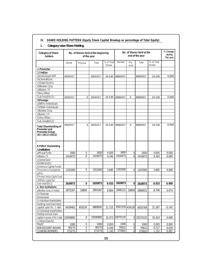| Category of Share<br>holders                                                              | No. of Shares held at the<br>No. of Shares held at the beginning<br>end of the year<br>of the year |             |          |                             |                |                |                 |                      |                |  | % Change<br>during<br>The year |
|-------------------------------------------------------------------------------------------|----------------------------------------------------------------------------------------------------|-------------|----------|-----------------------------|----------------|----------------|-----------------|----------------------|----------------|--|--------------------------------|
|                                                                                           | Demat                                                                                              | Physical    | Total    | % of Total<br><b>Shares</b> | Demate         | Phy<br>sical   | Total           | % of Total<br>Shares |                |  |                                |
| A.Promoter                                                                                |                                                                                                    |             |          |                             |                |                |                 |                      |                |  |                                |
| 1) Indian                                                                                 |                                                                                                    |             |          |                             |                |                |                 |                      |                |  |                                |
| a)Individual/HUF                                                                          | 8000457                                                                                            |             | 8000457  | 24.530                      | 8000457        |                | 8000457         | 24.530               | 0.000          |  |                                |
| b)CentralGovt                                                                             |                                                                                                    |             |          |                             |                |                |                 |                      |                |  |                                |
| c)State Govt(s)                                                                           |                                                                                                    |             |          |                             |                |                |                 |                      |                |  |                                |
| d)Bodies Corp                                                                             |                                                                                                    |             |          |                             |                |                |                 |                      |                |  |                                |
| e)Banks / Fl                                                                              |                                                                                                    |             |          |                             |                |                |                 |                      |                |  |                                |
| f) Any Other                                                                              |                                                                                                    |             |          |                             |                |                |                 |                      |                |  |                                |
| $Sub-total(A)(1)$ :-                                                                      | 8000457                                                                                            | 0           | 8000457  | 24.530                      | 8000457        | 0              | 8000457         | 24.530               | 0.000          |  |                                |
| 2)Foreign                                                                                 |                                                                                                    |             |          |                             |                |                |                 |                      |                |  |                                |
| q)NRIs-Individuals                                                                        |                                                                                                    |             |          |                             |                |                |                 |                      |                |  |                                |
| h)Other-Individuals                                                                       |                                                                                                    |             |          |                             |                |                |                 |                      |                |  |                                |
| i)Bodies Corp.                                                                            |                                                                                                    |             |          |                             |                |                |                 |                      |                |  |                                |
| j)Banks / FI                                                                              |                                                                                                    |             |          |                             |                |                |                 |                      |                |  |                                |
| k) Any Other                                                                              |                                                                                                    |             |          |                             |                |                |                 |                      |                |  |                                |
| Sub-total(A) $(2)$ :-                                                                     |                                                                                                    |             |          |                             |                |                |                 |                      |                |  |                                |
| <b>Total Shareholding of</b><br>Promoter and<br>Promoter Group<br>$(A) = (A)(1) + (A)(2)$ | 8000457                                                                                            | $\mathbf 0$ | 8000457  | 24.530                      | 8000457        | 0              | 8000457         | 24.530               | 0.000          |  |                                |
| <b>B.PUBLIC Shareholding</b>                                                              |                                                                                                    |             |          |                             |                |                |                 |                      |                |  |                                |
| 1.Institutions                                                                            |                                                                                                    | $\pmb{0}$   | 1600     |                             | 1600           |                |                 |                      |                |  |                                |
| a) Mutual Funds<br>b)Banks / FI                                                           | 1600<br>1416473                                                                                    | 0           | 1416473  | 0.005<br>4.343              | 1416473        | 0<br>$\Omega$  | 1600<br>1416473 | 0.005<br>4.343       | 0.000<br>0.000 |  |                                |
| c)Central Govt                                                                            |                                                                                                    |             |          |                             |                |                |                 |                      |                |  |                                |
| d) State Govt(s)                                                                          |                                                                                                    |             |          |                             |                |                |                 |                      |                |  |                                |
| e) Venture Capital Funds                                                                  |                                                                                                    |             |          |                             |                |                |                 |                      |                |  |                                |
| f) Insurance Companies                                                                    | 1202000                                                                                            | $\Omega$    | 1202000  | 3.685                       | 1202000        | $\Omega$       | 1202000         | 3.685                | 0.000          |  |                                |
| $q$ )FIIs                                                                                 |                                                                                                    |             |          |                             |                |                |                 |                      |                |  |                                |
| h)Foreign Venture Capital Funds                                                           |                                                                                                    |             |          |                             |                |                |                 |                      |                |  |                                |
| i)Others (specify)                                                                        |                                                                                                    |             |          |                             |                |                |                 |                      |                |  |                                |
| Sub-total(B)(1)                                                                           | 2620073                                                                                            | 0           | 2620073  | 8.033                       | 2620073        | $\Omega$       | 2620073         | 8.033                | 0.000          |  |                                |
| 2. Non Institutions                                                                       |                                                                                                    |             |          |                             |                |                |                 |                      |                |  |                                |
| a)Bodies Corp.(i) Indian                                                                  | 2872267                                                                                            | 18800       | 2891067  | 8.864                       | 2848131        | 18800          | 2866931         | 8.790                | 0.074          |  |                                |
| (ii) Overseas                                                                             |                                                                                                    |             |          |                             |                |                |                 |                      |                |  |                                |
| b)Individuals                                                                             |                                                                                                    |             |          |                             |                |                |                 |                      |                |  |                                |
| (i) Individual shareholders                                                               |                                                                                                    |             |          |                             |                |                |                 |                      |                |  |                                |
| holding nominal share                                                                     |                                                                                                    |             |          |                             |                |                |                 |                      |                |  |                                |
| capital upto Rs. 1 lakh                                                                   | 6439462                                                                                            | 450230      | 6889692  | 21.125                      | 6501539 434230 |                | 6935769         | 21.267               | $-0.142$       |  |                                |
| (ii) Individual shareholders                                                              |                                                                                                    |             |          |                             |                |                |                 |                      |                |  |                                |
| holding nominal share                                                                     |                                                                                                    |             |          |                             |                |                |                 |                      |                |  |                                |
| capital in excess of Rs 1 lakh                                                            | 10590892                                                                                           | 0           | 10590892 | 32.473                      | 10575125       |                | 0 10575125      | 32.424               | 0.049          |  |                                |
| c) Others(Specify)                                                                        |                                                                                                    |             |          |                             |                |                |                 |                      |                |  |                                |
| <b>TRUST</b>                                                                              | 1000                                                                                               | 0           | 1000     | 0.003                       | 1000           | $\overline{0}$ | 1000            | 0.003                | 0.000          |  |                                |
| NON RESIDENT INDIANS                                                                      | 80270                                                                                              | 0           | 80270    | 0.246                       | 70622          | $\overline{0}$ | 70622           | 0.217                | 0.029          |  |                                |
| <b>CLEARING MEMBERS</b>                                                                   | 373275                                                                                             | 0           | 373275   | 1.145                       | 375602         | $\overline{0}$ | 375602          | 1.152                | 0.007          |  |                                |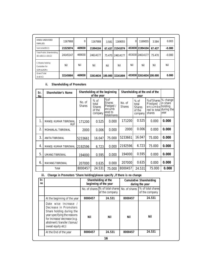| HINDU UNDIVIDED<br><b>FAMILIES</b>                      | 1167908  | 0      | 1167908  | 3.581  | 1169055          | 0   | 1169055                 | 3.584  | 0.003    |
|---------------------------------------------------------|----------|--------|----------|--------|------------------|-----|-------------------------|--------|----------|
| $Sub-total(B)(2)$                                       | 21525074 | 469030 | 21994104 | 67.437 | 21541074         |     | 453030 21994104         | 67.437 | $-0.000$ |
| <b>Total Public Shareholding</b><br>$(B)=(B)(1)+(B)(2)$ | 24145147 | 469030 | 24614177 |        | 75.470 24614177  |     | 453030 24614177         | 75.470 | $-0.000$ |
| C Shares held by<br>Custodian for<br>GDRs&ADRs          | Nil      | Nil    | Nil      | Nil    | Nil              | Nil | Nil                     | Nil    | Nil      |
| <b>Grand Total</b><br>$(A+B+C)$                         | 32145604 | 469030 | 32614634 |        | 100.000 32161604 |     | 453030 32614634 100.000 |        | 0.000    |

**ii. Shareholding of Promoters**

| Sr.<br>Nο      | Shareholder's Name                 |                         | Shareholding at the beginning<br>of the year          |                                                                       | Shareholding at the end of the |                                                       |                                                                                        |                                |
|----------------|------------------------------------|-------------------------|-------------------------------------------------------|-----------------------------------------------------------------------|--------------------------------|-------------------------------------------------------|----------------------------------------------------------------------------------------|--------------------------------|
|                |                                    | No. of<br><b>Shares</b> | $%$ of<br>total<br><b>Shares</b><br>of the<br>company | %of<br><b>Shares</b><br>Pledged /<br>encumb<br>ered to<br>totalshares | No. of<br><b>Shares</b>        | $%$ of<br>total<br><b>Shares</b><br>of the<br>company | %of Shares % change<br>Pledged<br>encumbe holding<br>red to total during the<br>shares | $\frac{1}{2}$ in share<br>year |
| $\mathbf{1}$   | MANOJ KUMAR TIBREWAL<br><b>HUF</b> | 171200                  | 0.525                                                 | 0.000                                                                 | 171200                         | 0.525                                                 | 0.000                                                                                  | 0.000                          |
| $\overline{2}$ | MOHANLAL TIBREWAL                  | 2000                    | 0.006                                                 | 0.000                                                                 | 2000                           | 0.006                                                 | 0.000                                                                                  | 0.000                          |
| 3              | ANITA TIBREWAL                     | 5233661                 | 16.047                                                | 75.000                                                                | 5233661                        | 16.047                                                | 75.000                                                                                 | 0.000                          |
| $\overline{4}$ | MANOJ KUMAR TIBREWAL               | 2192596                 | 6.723                                                 | 0.000                                                                 | 2192596                        | 6.723                                                 | 75.000                                                                                 | 0.000                          |
| 5              | <b>UMANG TIBREWAL</b>              | 194000                  | 0.595                                                 | 0.000                                                                 | 194000                         | 0.595                                                 | 0.000                                                                                  | 0.000                          |
| 6              | <b>MAYANG TIBREWAL</b>             | 207000                  | 0.635                                                 | 0.000                                                                 | 207000                         | 0.635                                                 | 0.000                                                                                  | 0.000                          |
|                | Total                              | 8000457                 | 24.531                                                | 75.000                                                                | 8000457                        | 24.531                                                | 75.000                                                                                 | 0.000                          |

**iii. Change in Promoters 'Share holding(please specify ,if there is no change**

| Sr.<br>no |                                                                                                                                                                                                 | Shareholding at the<br>beginning of the year |                                                                 | <b>Cumulative Shareholding</b><br>during the year |                                     |  |
|-----------|-------------------------------------------------------------------------------------------------------------------------------------------------------------------------------------------------|----------------------------------------------|-----------------------------------------------------------------|---------------------------------------------------|-------------------------------------|--|
|           |                                                                                                                                                                                                 |                                              | No. of shares % of total shares No. of shares<br>of the company |                                                   | % of total shares<br>of the company |  |
|           | At the beginning of the year                                                                                                                                                                    | 8000457                                      | 24.531                                                          | 8000457                                           | 24.531                              |  |
|           | Date wise Increase /<br>Decrease in Promoters<br>Share holding during the<br>year specifying the reasons<br>for increase/ decrease (e.g.<br>allotment / transfer / bonus/<br>sweat equity etc): | Nil                                          | Nil                                                             | Nil                                               | Nil                                 |  |
|           | At the End of the year                                                                                                                                                                          | 8000457                                      | 24.531                                                          | 8000457                                           | 24.531                              |  |
|           |                                                                                                                                                                                                 |                                              | 16                                                              |                                                   |                                     |  |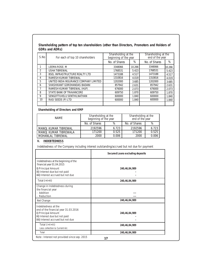**Shareholding pattern of top ten shareholders (other than Directors, Promoters and Holders of GDRs and ADRs)**

| S.No | For each of top 10 shareholders        | Shareholding at the<br>beginning of the year |        | Shareholding at the<br>end of the year |        |  |
|------|----------------------------------------|----------------------------------------------|--------|----------------------------------------|--------|--|
|      |                                        | No. of Shares                                | %      | No. of Shares                          | %      |  |
|      | LEEMA ROSE. M                          | 3348066                                      | 10.266 | 3348066                                | 10.266 |  |
|      | <b>USHA TIBREWAL</b>                   | 1768531                                      | 5.423  | 1768531                                | 5.423  |  |
| 3    | <b>BSEL INFRASTRUCTURE REALTY LTD</b>  | 1473188                                      | 4.517  | 1473188                                | 4.517  |  |
| 4    | RAMESH KUMAR TIBREWAL                  | 1310816                                      | 4.019  | 1310816                                | 4.019  |  |
| 5    | UNITED INDIA INSURANCE COMPANY LIMITED | 1202000                                      | 3.685  | 1202000                                | 3.685  |  |
| 6    | SHASHIKANT GORDHANDAS BADANI           | 857942                                       | 2.631  | 857942                                 | 2.631  |  |
|      | RAMESH KUMAR TIBREWAL (HUF).           | 676000                                       | 2.073  | 676000                                 | 2.073  |  |
| 8    | STATE BANK OF TRAVANCORE               | 609750                                       | 1.870  | 609750                                 | 1.870  |  |
| 9    | SENGOTTUVELU SENTHILNATHAN             | 600000                                       | 1.840  | 600000                                 | 1.840  |  |
| 10   | RASI SEEDS (P) LTD                     | 600000                                       | 1.840  | 600000                                 | 1.840  |  |
|      |                                        |                                              |        |                                        |        |  |

**Shareholding of Directors and KMP**

| <b>NAME</b>           | Shareholding at the<br>beginning of the year |       | Shareholding at the<br>end of the year |       |  |
|-----------------------|----------------------------------------------|-------|----------------------------------------|-------|--|
|                       | No. of Shares<br>$\%$                        |       | No. of Shares                          | %     |  |
| MANOJ KUMAR TIBREWAL  | 2192596                                      | 6.723 | 2192596                                | 6.723 |  |
| MANOJ KUMAR TIBREWALA | 171200                                       | 0.525 | 171200                                 | 0.525 |  |
| MOHANLAL TIBREWAL     | 2000                                         | 0.006 | 2000                                   | 0.006 |  |

**V. INDEBTEDNESS**

Indebtedness of the Company including interest outstanding/accrued but not due for payment

|                                                                                                                                                                | Secured Loans excluding deposits |
|----------------------------------------------------------------------------------------------------------------------------------------------------------------|----------------------------------|
| Indebtedness at the beginning of the<br>financial year 01.04.2015<br>i) Principal Amount<br>ii) Interest due but not paid<br>iii) Interest accrued but not due | 240,46,84,989                    |
| Total (i+ii+iii)                                                                                                                                               | 240,46,84,989                    |
| Change in Indebtedness during<br>the financial year<br>- Addition<br>Reduction                                                                                 |                                  |
| Net Change                                                                                                                                                     | 240,46,84,989                    |
| Indebtedness at the<br>end of the financial year 31.03.2016<br>i) Principal Amount<br>ii) Interest due but not paid<br>iii) Interest accrued but not due       | 240,46,84,989                    |
| Total (i+ii+iii)<br>Less collection & Current A/c                                                                                                              | 240,46,84,989                    |
| Total                                                                                                                                                          | 240,46,84,989                    |
| Note: Interest not provided since sep. 2015                                                                                                                    | 17                               |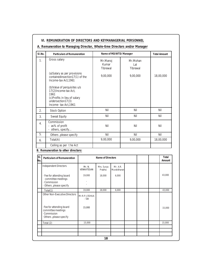| $SI$ . No.             | Particulars of Remuneration                                                                                                                 |                        |                               | Name of MD/WTD/ Manager  |                             |  | <b>Total Amount</b> |
|------------------------|---------------------------------------------------------------------------------------------------------------------------------------------|------------------------|-------------------------------|--------------------------|-----------------------------|--|---------------------|
| $\mathbf{1}$ .         | Gross salary                                                                                                                                |                        | Mr.Manoj<br>Kumar<br>Tibrewal |                          | Mr.Mohan<br>Lal<br>Tibrewal |  |                     |
|                        | (a) Salary as per provisions<br>containedinsection17(1) of the<br>Income-tax Act, 1961                                                      |                        | 9,00,000                      |                          | 9,00,000                    |  | 18,00,000           |
|                        | (b) Value of perquisites u/s<br>17(2) Income-tax Act,<br>1961<br>(c) Profits in lieu of salary<br>undersection17(3)<br>Income-tax Act, 1961 |                        |                               |                          |                             |  |                     |
| 2.                     | Stock Option                                                                                                                                |                        | Nil<br>Nil                    |                          | Nil                         |  |                     |
| 3.                     | Sweat Equity                                                                                                                                |                        | Nil                           |                          | Nil                         |  | Nil                 |
| 4.                     | Commission<br>- as% of profit<br>- others, specify                                                                                          | Nil<br>Nil             |                               | Nil                      |                             |  |                     |
| 5.                     | Others , please specify                                                                                                                     |                        | Nil                           |                          | Nil                         |  | Nil                 |
| Total(A)<br>6.         |                                                                                                                                             |                        | 9,00,000                      |                          | 9,00,000                    |  | 18,00,000           |
| Ceiling as per the Act |                                                                                                                                             |                        |                               |                          |                             |  |                     |
|                        | B. Remuneration to other directors:                                                                                                         |                        |                               |                          |                             |  |                     |
| SI.<br>No.             | Particulars of Remuneration                                                                                                                 |                        | Name of Directors             |                          |                             |  | Total<br>Amount     |
|                        | <b>Independent Directors</b>                                                                                                                | Mr. N.<br>VENKATESAN   | Mrs. Surya<br>Prabha          | Mr. A.R.<br>Muralidharan |                             |  |                     |
|                        | · Fee for attending board<br>committee meetings<br>· Commission<br>· Others , please specify                                                | 19,000                 | 18,000                        | 6,000                    |                             |  | 43,000              |
|                        | Total(1)                                                                                                                                    | 19.000                 | 18,000                        | 6,000                    |                             |  | 43.000              |
|                        | Other Non-Executive Directors                                                                                                               | Mr.R.P.JOSHUA<br>- SBI |                               |                          |                             |  |                     |
|                        | · Fee for attending board<br>committee meetings<br>. Commission<br>Others , please specify                                                  | 15,000                 |                               |                          |                             |  | 15,000              |
|                        | Total (2)                                                                                                                                   | 15,000                 |                               |                          |                             |  | 15,000              |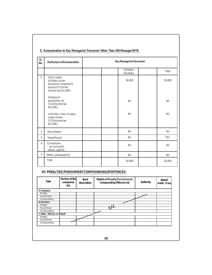| SI.<br>No.       | Particulars of Remuneration                                                                                | Key Managerial Personnel |        |  |  |
|------------------|------------------------------------------------------------------------------------------------------------|--------------------------|--------|--|--|
|                  |                                                                                                            | Company<br>Secretary     | Total  |  |  |
| 1.               | Gross salary<br>(a)Salary as per<br>provisions contained in<br>section17(1) of the<br>Income-tax Act, 1961 | 50,000                   | 50,000 |  |  |
|                  | (b) Value of<br>perquisites u/s<br>17(2) Income-tax<br>Act, 1961                                           | Nil                      | Nil    |  |  |
|                  | (c) Profits in lieu of salary<br>under section<br>17(3) Income-tax<br>Act, 1961                            | Nil                      | Nil    |  |  |
| $\overline{2}$ . | <b>Stock Option</b>                                                                                        | Nil                      | Nil    |  |  |
| 3.               | Sweat Equity                                                                                               | Nil                      | `Nil   |  |  |
| 4.               | Commission<br>- as %of profit<br>-others , specify                                                         | Nil                      | Nil    |  |  |
| 5.               | Others, pleasespecify                                                                                      | Nil                      | Nil    |  |  |
|                  | Total                                                                                                      | 50,000                   | 50,000 |  |  |

# **VII.PENALTIES/PUNISHMENT/COMPOUNDINGOFOFFENCES:**

| Type                        | Section of the<br>companies<br>Act | <b>Brief</b><br>description | Details of Penalty/Punishment/<br>Compounding Offences etc | Authority | Appeal<br>made. If any |
|-----------------------------|------------------------------------|-----------------------------|------------------------------------------------------------|-----------|------------------------|
| A.Company                   |                                    |                             |                                                            |           |                        |
| Penalty                     |                                    |                             |                                                            |           |                        |
| Punishment                  |                                    |                             |                                                            |           |                        |
| Compounding                 |                                    |                             |                                                            |           |                        |
| <b>B.Directors</b>          |                                    |                             |                                                            |           |                        |
| Penalty                     |                                    |                             |                                                            |           |                        |
| Punishment                  |                                    |                             | πU                                                         |           |                        |
| Compounding                 |                                    |                             |                                                            |           |                        |
| C.Other Officers In Default |                                    |                             |                                                            |           |                        |
| Penalty                     |                                    |                             |                                                            |           |                        |
| Punishment                  |                                    |                             |                                                            |           |                        |
| Compounding                 |                                    |                             |                                                            |           |                        |
|                             |                                    |                             |                                                            |           |                        |
|                             |                                    |                             |                                                            |           |                        |
|                             |                                    |                             |                                                            |           |                        |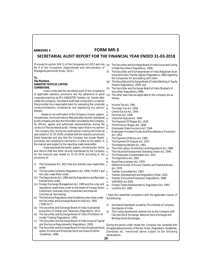# **ANNEXURE 3 FORM MR-3**

# **SECRETARIAL AUDIT REPORT FOR THE FINANCIAL YEAR ENDED 31-03-2018**

(Pursuant to section 204 (1) of the Companies Act 2013 and rule (e) The Securities and Exchange Board of India (Issue and Listing No 9 of the Companies (Appointment and remuneration of Managerial personnel) Rules, 2014.)

#### **To,**

**The Members**, **GANGOTRI TEXTILES LIMITED COIMBATORE.**

 I have conducted the secretarial audit of the compliance of applicable statutory provisions and the adherence to good corporate practices by M/s GANGOTRI Textiles Ltd. (herein after called the company). Secretarial Audit was conducted in a manner that provided me a reasonable basis for evaluating the corporate  $a$ conducts/statutory compliances and expressing my opinion thereon.

Based on my verification of the Company's books, papers, d. minute books, forms and returns filed and other records maintained e. by the company and also the information provided by the Company, its officers, agents and authorized representatives during the conduct of the secretarial audit, I hereby report that in my opinion  $\mathbf{\check{h}}$ . , the company has, during the audit period covering the financial year ended on 31-03-2018 complied with the statutory provisions listed hereunder and also that the Company has proper Boardprocesses and compliance-mechanism in place to the extent, in  $k$ . the manner and subject to the reporting made hereinafter:

I have examined the books, papers, minute books, forms  $m$ . and returns filed and other records maintained by the Company  $n<sub>1</sub>$ for the financial year ended on 31-03-2018 according to the  $_0$ . provisions of

- (i) The Companies Act, 2013 (the act) and the rules made there  $r$ . under;
- (ii) The Securities Contracts (Regulation) Act, 1956 ("SCRA") and the rules made there under;
- (iii) The Depositories Act, 1996 and the Regulations and Bye-laws framed there under;
- (iv) Foreign Exchange Management Act, 1999 and the rules and  $W$ . regulations made there under to the extent of Foreign Direct  $\mathbf{x}$ Investment, Overseas Direct Investment and External Commercial Borrowings
- (v) The following Regulations and Guidelines prescribed under the Securities and Exchange Board of India Act, 1992 ("SEBI Act")
- (a) The securities and Exchange Board of India (Substantial Acquisition of Shares and Takeovers) Regulations, 2011;
- (b) The Securities and Exchange Board of India (Prohibition of Insider Trading) Regulations, 1992;
- (c) The Securities and Exchange Board of India (Issue of Capital and Disclosure Requirements) Regulations, 2009;
- (d) The Securities and Exchange Board of India (Employee Stock option Scheme and Employee Stock purchase Scheme) Guidelines, 1999;
- of Debt Securities) Regulations, 2008;
- (f) The Securities and Exchange Board of India (Registrars to an issue and Share Transfer Agents) Regulations, 1993 regarding the Companies Act and dealing with client;
- (g) The Securities and Exchange Board of India (Delisting of Equity Shares) Regulations, 2009; and
- The Securities and Exchange Board of India (Buyback of Securities) Regulations,1998;
- (vi) The other laws that are applicable to the company are as follows
	- a. Income Tax Act, 1961
	- The Sales Tax Act, 1956
- c. Central Excise Act, 1944
	- Factories Act, 1948
	- Industrial Dispute Act, 1948
- f. The Payment Of Wages Act, 1936
- g. The Minimum Wages Act, 1948
- Employees State Insurance Act, 1948
- i. Employees Provident Funds And Miscellaneous Provisions Act, 1952
	- The Payment Of Bonus Act, 1965
	- The Payment Of Gratuity Act, 1972
- l. The Maternity Benefit Act, 1961
- The Child Labour (Prohibition And Regulation) Act, 1986
- The Industrial Employment (Standing Order) Act, 1946
- The Employees Compensation Act, 1923
- p. The Apprentice Act, 1961
- q. Equal Remuneration Act, 1976
- Additional Duties of Excise (Textiles and Textile Articles) Act, 1978
- Textiles Committee Act, 1963
- Textiles (Development and Regulation) Order, 2001
- u. Textiles (Consumer Protection) Regulations, 1988
- v. SARFAESI Act 2002
- Foreign Trade (Development & Regulation) Act, 1992
- Customs Act, 1962

I have also examined compliance with the applicable clauses of the following:

- (i) Secretarial Standards issued by The Institute of Company Secretaries of India.
- (j) The Listing Agreements entered into by the Company with Calcutta Stock Exchange, National Stock Exchange and Bombay Stock Exchanges.

During the period under review the Company has complied with the applicable provisions of the Act, Rules, Regulations, Guidelines, Standards etc. mentioned above subject to the following observations:

**20**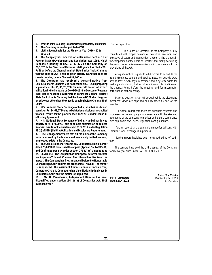**1. Website of the Company is not disclosing mandatory information**

**2. The Company has not appointed a CFO**

**3. Listing fee not paid for the Financial Year 2016 - 17 & 2017-18**

**4. The Company has received an order under Section 15 of Foreign Trade (Development and Regulation) Act, 1992, which imposes a penalty of Rs.1,51,37,826 on the Company on 20/1/2016- the Director of Revenue intelligence has filed a Writ Petition before the Chennai against State Bank of India Claiming that the dues to DGFT shall be given priority over other dues the case is pending before Chennai High Court.**

**5. The Company has received a demand notice from Commissioner of Customs vide notification No.97/2004 proposing a penalty of Rs.55,90,28,760 for non fulfillment of export obligation by the Company on 20/01/2016 - the Director of Revenue intelligence has filed a Writ Petition before the Chennai against State Bank of India Claiming that the dues to DGFT shall be given priority over other dues the case is pending before Chennai High Court.**

**6. M/s. National Stock Exchange of India, Mumbai has levied penalty of Rs. 34,68,073/- due to belated submission of un-audited financial results for the quarter ended 30.9.2015 under Clause 41 of Listing Agreement.**

**7. M/s. National Stock Exchange of India, Mumbai has levied penalty of Rs. 8,03,073/- due to belated submission of audited financial results for the quarter ended 31.3.2017 under Regulation 33 (d) of SEBI (Lisiting Obligation and Disclosure Requirement).**

**8. The Management states that all the units of the Company have been sold by the lenders and hence only limited workers/ employees exists in the Company.**

**9. The Commissioner of Income tax, Coimbatore vide his order dated 28/09/2016 dismissed the appeal (Appeal No.148/15-16) and Confirmed penalty under section 271 (1) (c) amounting to Rs.7,30,48,153. The Company has filed appeal before the Income tax Appellate Tribunal, Chennai. The tribunal has dismissed the appeal. The Company has filed an appeal before the Honourable Chennai High Court against the order of the Tribunal. The matter is subjudiced. The Assistant Commissioner of Income Tax, Corporate Circle II, Coimbatore has also filed a criminal case in Coimbatore Court and the matter is subjudiced.**

**10. Mr. N. Venkatesan, Independent Director has been disqualified under section 164 (2) (a) of Companies Act, 2013 Date : 27.4.2018 during the year.**

I further report that

 The Board of Directors of the Company is duly constituted with proper balance of Executive Directors, Non Executive Directors and Independent Directors. The changes in the composition of the Board of Directors that took place during the period under review were carried out in compliance with the provisions of the Act.

 Adequate notice is given to all directors to schedule the Board Meetings, agenda and detailed notes on agenda were sent at least seven days in advance and a system exists for seeking and obtaining further information and clarifications on the agenda items before the meeting and for meaningful participation at the meeting.

 Majority decision is carried through while the dissenting members' views are captured and recorded as part of the minutes.

 I further report that there are adequate systems and processes in the company commensurate with the size and operations of the company to monitor and ensure compliance with applicable laws, rules, regulations and guidelines.

 I further report that the application made for delisting with Calcutta Stock Exchange is in process.

I further report that it has been noted at the time of audit that

The bankers have sold the entire assets of the Company for recovery of dues under SARFAESI ACT, 2002.

**Place : Coimbatore**

Name: **V.M.Vennila** Membership No: 18193 C.P.No: 7425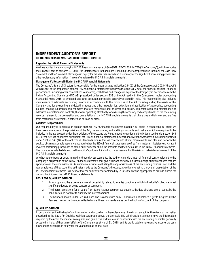# **INDEPENDENT AUDITOR'S REPORT**

**TO THE MEMBERS OF M/s. GANGOTRI TEXTILES LIMITED**

# **Report on the IND AS Financial Statements**

We have audited the accompanying IND AS financial statements of GANGOTRI TEXTILES LIMITED ("the Company"), which comprise the Balance Sheet as at March 31, 2018, the Statement of Profit and Loss (including Other Comprehensive Income), the Cash Flow Statement and the Statement of Changes in Equity for the year then ended and a summary of the significant accounting policies and other explanatory information. (hereinafter referred to IND AS financial statements).

**Management's Responsibility for the IND AS Financial Statements**

The Company's Board of Directors is responsible for the matters stated in Section 134 (5) of the Companies Act, 2013 ("the Act") with respect to the preparation of these IND AS financial statements that give a true and fair view of the financial position, financial performance (including other comprehensive income), cash flows and changes in equity of the Company in accordance with the Indian Accounting Standards (IND AS) prescribed under section 133 of the Act read with the Companies (Indian Accounting Standards) Rules, 2015, as amended, and other accounting principles generally accepted in India. This responsibility also includes maintenance of adequate accounting records in accordance with the provisions of the Act for safeguarding the assets of the Company and for preventing and detecting frauds and other irregularities; selection and application of appropriate accounting policies; making judgments and estimates that are reasonable and prudent; and design, implementation and maintenance of adequate internal financial controls, that were operating effectively for ensuring the accuracy and completeness of the accounting records, relevant to the preparation and presentation of the IND AS financial statements that give a true and fair view and are free from material misstatement, whether due to fraud or error.

# **Auditors' Responsibility**

Our responsibility is to express an opinion on these IND AS financial statements based on our audit. In conducting our audit, we have taken into account the provisions of the Act, the accounting and auditing standards and matters which are required to be included in the audit report under the provisions of the Act and the Rules made thereunder and the Order issued under section 143 (11) of the Act. We conducted our audit of the IND AS financial statements in accordance with the Standards on Auditing specified under Section 143 (10) of the Act. Those Standards require that we comply with ethical requirements and plan and perform the audit to obtain reasonable assurance about whether the IND AS financial statements are free from material misstatement. An audit involves performing procedures to obtain audit evidence about the amounts and the disclosures in the IND AS financial statements. The procedures selected depend on the auditor's judgment, including the assessment of the risks of material misstatement of the IND AS financial statements,

whether due to fraud or error. In making those risk assessments, the auditor considers internal financial control relevant to the Company's preparation of the IND AS financial statements that give a true and fair view in order to design audit procedures that are appropriate in the circumstances. An audit also includes evaluating the appropriateness of the accounting policies used and the reasonableness of the accounting estimates made by the Company's directors, as well as evaluating the overall presentation of the IND AS financial statements. We believe that the audit evidence obtained by us is sufficient and appropriate to provide a basis for our audit opinion on the IND AS financial statements

# **BASIS FOR QUALIFIED OPINION**

- 1. In our opinion, there prevails material uncertainty related to events/ conditions which individually/ collectively cast significant doubts on going concern assumption.
- 2. The interest provisions for all Loans from Banks has not been worked out since the date of taking over of assets by the bank. We could not able to quantify the interest amount.
- 3. The balances shown under Secured loans and Balances with bank. Confirmation of balance is yet to be given by the Bankers. Hence, the balances reflected under these two heads are as per the books of account of the company.

# **QUALIFIED OPINION**

In our opinion and to the best of our information and according to the explanations given to us, except for the effects of the matter described in the Basis for Qualified Opinion paragraph above, the aforesaid IND AS financial statements give the information required by the Act in the manner so required and give a true and fair view in conformity with the accounting principles generally accepted in India, of the state of affairs of the Company as at March 31, 2018, and its profit, total comprehensive income, the cash flows and the changes in equity for the year ended as on that date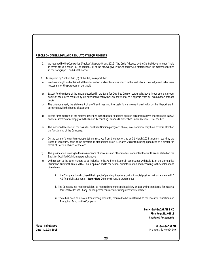# **REPORT ON OTHER LEGAL AND REGULATORY REQUIREMENTS**

- 1. As required by the Companies (Auditor's Report) Order, 2016 ("the Order") issued by the Central Government of India in terms of sub-section (11) of section 143 of the Act, we give in the Annexure A, a statement on the matters specified in the paragraph 3 and 4 of the order.
- 2. As required by Section 143 (3) of the Act, we report that:
- (a) We have sought and obtained all the information and explanations which to the best of our knowledge and belief were necessary for the purposes of our audit.
- (b) Except for the effects of the matter described in the Basis for Qualified Opinion paragraph above, in our opinion, proper books of account as required by law have been kept by the Company so far as it appears from our examination of those books;
- (c) The balance sheet, the statement of profit and loss and the cash flow statement dealt with by this Report are in agreement with the books of account;
- (d) Except for the effects of the matters described in the basis for qualified opinion paragraph above, the aforesaid IND AS financial statements comply with the Indian Accounting Standards prescribed under section 133 of the Act;
- (e) The matters described on the Basis for Qualified Opinion paragraph above, in our opinion, may have adverse effect on the functioning of the Company.
- (e) On the basis of the written representations received from the directors as on 31 March 2018 taken on record by the Board of Directors, none of the directors is disqualified as on 31 March 2018 from being appointed as a director in terms of Section 164 (2) of the Act;
- (f) The qualification relating to the maintenance of accounts and other matters connected therewith are as stated on the Basis for Qualified Opinion paragraph above
- (h) with respect to the other matters to be included in the Auditor's Report in accordance with Rule 11 of the Companies (Audit and Auditors) Rules, 2014, in our opinion and to the best of our information and according to the explanations given to us:
	- i. the Company has disclosed the impact of pending litigations on its financial position in its standalone IND AS financial statements – **Refer Note 26** to the financial statements;
	- ii. The Company has made provision, as required under the applicable law or accounting standards, for material foreseeable losses, if any, on long-term contracts including derivative contracts.
	- iii. There has been no delay in transferring amounts, required to be transferred, to the Investor Education and Protection Fund by the Company.

**For M.GANGADARAN & CO Firm Regn.No.0881S Chartered Accountants**

**Place : Coimbatore Date : 10.08.2018**

**M. GANGADARAN** Membership No:024949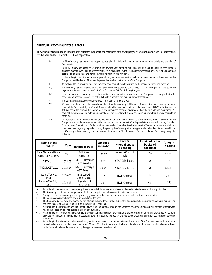#### **ANNEXURE-A TO THE AUDITORS' REPORT**

The Annexure referred to in Independent Auditors' Report to the members of the Company on the standalone financial statements for the year ended 31 March 2018, we report that:

I) (a) The Company has maintained proper records showing full particulars, including quantitative details and situation of fixed assets.

(b) The Company has a regular programme of physical verification of its fixed assets by which fixed assets are verified in a phased manner over a period of three years. As explained to us, the Fixed Assets were taken over by the bank and took possession of all assets, and hence Physical verification was not done.

(c) According to the information and explanations given to us and on the basis of our examination of the records of the Company, the title deeds of immovable properties are held in the name of the Company

- II) As explained to us, inventories of the company have been physically verified by the management during the year.
- III) The Company has not granted any loans, secured or unsecured to companies, firms or other parties covered in the register maintained under section 189 of the Companies Act, 2013 during the year.
- IV) In our opinion and according to the information and explanations given to us, the Company has complied with the provisions of section 185 and 186 of the Act, with respect to the loans and investments made.
- V) The Company has not accepted any deposit from public during the year.
- VI) We have broadly reviewed the records maintained by the company, till the date of possession taken over by the bank, pursuant the Rules made by the Central Government for the maintenance of the cost records under 148(1) of the Companies Act. We are of the opinion that, prima facie, the prescribed accounts and records have been made and maintained. We have not, however, made a detailed Examination of the records with a view of determining whether they are accurate or complete
- VIII) (a) According to the information and explanations given to us and on the basis of our examination of the records of the Company, amount deducted/accrued in the books of account in respect of undisputed statutory dues including Provident Fund, Investor Education and Protection fund, income-tax, Sales-tax, Wealth tax, service Tax and other material statutory dues have been regularly deposited during the year by the Company with the appropriate authorities, As explained to us, the Company did not have any dues on account of employees' State Insurance, Customs duty and Excise duty except the following.

| Name of the<br>Statute                      | Year    | Nature of Dues                   | Amount<br>in Lakhs | Forum<br>where dispute<br>is pending | Provided in the<br>books of<br>accounts | Amount<br>in Lakhs |
|---------------------------------------------|---------|----------------------------------|--------------------|--------------------------------------|-----------------------------------------|--------------------|
| TamilNadu Additional<br>Sales Tax Act, 1970 | 1996-97 | Additional<br>Sales Tax          | 20.07              | Supreme Court of<br>India            | <b>Yes</b>                              | 20.07              |
| CST Acts                                    | 2002-03 | TNGST, Surcharge<br>AST, Penalty | 1.82               | <b>STAT Coimbatore</b>               | <b>No</b>                               | 1.82               |
| TNGST, CST Acts                             | 2003-04 | TNGST, Surcharge<br>AST, Penalty | 13.54              | <b>STAT Coimbatore</b>               | No                                      | 13.54              |
| Income Tax Act,<br>1961                     | 2004-05 | Interest U/S<br>234B/234C        | 5.85               | <b>ITAT Chennai</b>                  | <b>No</b>                               | 5.85               |
| Income Tax Act.<br>1961                     | 2012-13 | Penalty U/S<br>271(1)(c)         | 730                | <b>ITAT Chennai</b>                  | <b>No</b>                               | 730                |

(b) According to the records of the company, there are no statutory dues, which have not been deposited on account of any disputes VIII The Company has defaulted in repayment of interest and principal to bank and financial

The Company has defaulted in repayment of interest and principal to bank and financial institutions.

IX. During the year, the company has not given any guarantee for loan taken from others, from banks, or financial institution.

X. The company has not obtained any term loan during the year.

XI. The Company did not raise any money by way of initial public offer or further public offer (including debt instruments) and term loans during the year. Accordingly, paragraph 3 (ix) of the Order is not applicable.

XII. According to the information and explanations given to us, no material fraud by the Company or on the Company by its officers or employees has been noticed or reported during the course of our audit.

XIII. According to the information and explanations give to us and based on our examination of the records of the Company, the Company has paid/ provided for managerial remuneration in accordance with the requisite approvals mandated by the provisions of section 197 read with Schedule V to the Act

XIV. According to the information and explanations given to us and based on our examination of the records of the Company, transactions with the related parties are in compliance with sections 177 and 188 of the Act where applicable and details of such transactions have been disclosed in the financial statements as required by the applicable accounting standards.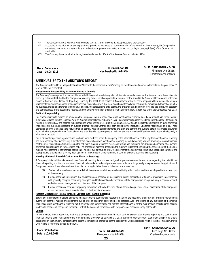XV. The Company is not a Nidhi Co. And therefore clause 3(12) of the Order is not applicable to the Company

XVI. According to the information and explanations given to us and based on our examination of the records of the Company, the Company has not entered into non-cash transactions with directors or persons connected with him. Accordingly, paragraph 3(xv) of the Order is not applicable.

XVII. The Company is not required to be registered under section 45-IA of the Reserve Bank of India Act 1934.

**Place : Coimbatore Date : 10.08.2018**

**M.GANGADARAN Membership No : 024949**

**For M. GANGADARAN & CO** Firm Regn.No.0881S Chartered Accountants

**For M. GANGADARAN & CO**

# **ANNEXURE B" TO THE AUDITOR'S REPORT**

The Annexure referred to in Independent Auditors' Report to the members of the Company on the standalone financial statements for the year ended 31 March 2018, we report that:

# **Management's Responsibility for Internal Financial Controls**

The Company's management is responsible for establishing and maintaining internal financial controls based on the internal control over financial reporting criteria established by the Company considering the essential components of internal control stated in the Guidance Note on Audit of Internal Financial Controls over Financial Reporting issued by the Institute of Chartered Accountants of India. These responsibilities include the design, implementation and maintenance of adequate internal financial controls that were operating effectively for ensuring the orderly and efficient conduct of its business, including adherence to company's policies, the safeguarding of its assets, the prevention and detection of frauds and errors, the accuracy and completeness of the accounting records, and the timely preparation of reliable financial information, as required under the Companies Act, 2013.

### **Auditor's Responsibility**

Our responsibility is to express an opinion on the Company's internal financial controls over financial reporting based on our audit. We conducted our audit in accordance with the Guidance Note on Audit of Internal Financial Controls Over Financial Reporting (the "Guidance Note") and the Standards on Auditing, issued by ICAI and deemed to be prescribed under section 143(10) of the Companies Act, 2013, to the extent applicable to an audit of internal financial controls, both applicable to an audit of Internal Financial Controls and, both issued by the Institute of Chartered Accountants of India. Those Standards and the Guidance Note require that we comply with ethical requirements and plan and perform the audit to obtain reasonable assurance about whether adequate internal financial controls over financial reporting was established and maintained and if such controls operated effectively in all material respects.

Our audit involves performing procedures to obtain audit evidence about the adequacy of the internal financial controls system over financial reporting and their operating effectiveness. my audit of internal financial controls over financial reporting included obtaining an understanding of internal financial controls over financial reporting, assessing the risk that a material weakness exists, and testing and evaluating the design and operating effectiveness of internal control based on the assessed risk. The procedures selected depend on the auditor's judgement, including the assessment of the risks of material misstatement of the financial statements, whether due to fraud or error. We believe that the audit evidence we have obtained is sufficient and appropriate to provide a basis for my audit opinion on the Company's internal financial controls systems over financial reporting.

# **Meaning of Internal Financial Controls over Financial Reporting**

A Company's internal financial control over financial reporting is a process designed to provide reasonable assurance regarding the reliability of financial reporting and the preparation of financial statements for external purposes in accordance with generally accepted accounting principles. A Company's internal financial control over financial reporting includes those policies and procedures that

- (1) Pertain to the maintenance of records that, in reasonable detail, accurately and fairly reflect the transactions and dispositions of the assets of the company;
- (2) Provide reasonable assurance that transactions are recorded as necessary to permit preparation of financial statements in accordance with generally accepted accounting principles, and that receipts and expenditures of the company are being made only in accordance with authorizations of management and directors of the company;
- (3) Provide reasonable assurance regarding prevention or timely detection of unauthorized acquisition, use, or disposition of the company's assets that could have a material effect on the financial statements.

#### **Inherent Limitations of Internal Financial Controls over Financial Reporting**

Because of the inherent limitations of internal financial controls over financial reporting, including the possibility of collusion or improper management override of controls, material misstatements due to error or fraud may occur and not be detected. Also, projections of any evaluation of the internal financial controls over financial reporting to future periods are subject to the risk that the internal financial control over financial reporting may become inadequate because of changes in conditions, or that the degree of compliance with the policies or procedures may deteriorate.

## **Opinion**

 In Our opinion, the Company has, in all material respects, an adequate internal financial controls system over financial reporting and such internal financial controls over financial reporting were operating effectively as at March 31, 2018, based on internal control over financial reporting criteria established by the Company considering the essential components of internal control stated in the Guidance Note on Audit of Internal Financial Controls Over Financial Reporting issued by the ICAI.

| Place: Coimbatore | CA. M. GANGADARAN    | TULIVI. UANUADANAN & CO<br>Firm Regn.No.0881S |  |
|-------------------|----------------------|-----------------------------------------------|--|
| Date: 10.08.2018  | Membership No:024949 | Chartered Accountants                         |  |
|                   |                      |                                               |  |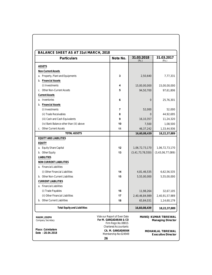| BALANCE SHEET AS AT 31st MARCH, 2018     |    |                                                                                                 |                      |                                                  |
|------------------------------------------|----|-------------------------------------------------------------------------------------------------|----------------------|--------------------------------------------------|
| Particulars                              |    | Note No.                                                                                        | 31.03.2018<br>(Rs.)  | 31.03.2017<br>(Rs.)                              |
| <b>ASSETS</b>                            |    |                                                                                                 |                      |                                                  |
| Non-Current Assets                       |    |                                                                                                 |                      |                                                  |
| a. Property, Plant and Equipments        |    | 3                                                                                               | 2,50,640             | 7,77,331                                         |
| b. Financial Assets                      |    |                                                                                                 |                      |                                                  |
| (i) Investments                          |    | 4                                                                                               | 15,00,00,000         | 15,00,00,000                                     |
| c. Other Non-Current Assets              |    | 5                                                                                               | 94,50,700            | 97,61,806                                        |
| <b>Current Assets</b>                    |    |                                                                                                 |                      |                                                  |
| a. Inventories                           |    | 6                                                                                               | $\overline{0}$       | 25,76,301                                        |
| b. Financial Assets                      |    |                                                                                                 |                      |                                                  |
| (i) Investments                          |    | 7                                                                                               | 52,000               | 52,000                                           |
| (ii) Trade Receivables                   |    | 8                                                                                               | $\overline{0}$       | 44,92,695                                        |
| (iii) Cash and Cash Equivalents          |    | 9                                                                                               | 16,10,357            | 11,24,320                                        |
| (iv) Bank Balance other than (iii) above |    | 10                                                                                              | 7,500                | 1,08,500                                         |
| c. Other Current Assets                  |    | 11                                                                                              | 46, 37, 242          | 1,33,44,936                                      |
| <b>TOTAL ASSETS</b>                      |    |                                                                                                 | 16,60,08,439         | 18,22,37,889                                     |
| EQUITY AND LIABILITIES                   |    |                                                                                                 |                      |                                                  |
| EQUITY                                   |    |                                                                                                 |                      |                                                  |
| a. Equity Share Capital                  |    | 12                                                                                              | 1,06,72,73,170       | 1,06,72,73,170                                   |
| b. Other Equity                          |    | 13                                                                                              | (3, 41, 73, 78, 550) | (3,43,06,77,089)                                 |
| LIABILITIES                              |    |                                                                                                 |                      |                                                  |
| NON CURRENT LIABILITIES                  |    |                                                                                                 |                      |                                                  |
| a. Financial Liabilities                 |    |                                                                                                 |                      |                                                  |
| (i) Other Financial Liabilities          |    | 14                                                                                              | 4,81,46,535          | 6,62,56,535                                      |
| b. Other Non-Current Liabilities         |    | 15                                                                                              | 5,55,00,000          | 5,55,00,000                                      |
| <b>CURRENT LIABILITIES</b>               |    |                                                                                                 |                      |                                                  |
| a. Financial Liabilities                 |    |                                                                                                 |                      |                                                  |
| (i) Trade Payables                       |    | 16                                                                                              | 11,98,264            | 32,67,105                                        |
| (ii) Other Financial Liabilities         |    | 17                                                                                              | 2,40,46,84,989       | 2,40,91,57,989                                   |
| b. Other Current Liabilities             |    | 18                                                                                              | 65,84,031            | 1,14,60,179                                      |
| <b>Total Equity and Liabilities</b>      |    |                                                                                                 | 16,60,08,439         | 18,22,37,889                                     |
| MAXIM JOSEPH<br><b>Company Secretary</b> |    | Vide our Report of Even Date<br>For M. GANGADARAN & CO                                          |                      | MANOJ KUMAR TIBREWAL<br><b>Managing Director</b> |
| Place: Coimbatore<br>Date: 28.04.2018    | 26 | Firm Regn.No.0881S<br><b>Chartered Accountants</b><br>CA. M. GANGADARAN<br>Membership No:024949 |                      | MOHANLAL TIBREWAL<br><b>Executive Director</b>   |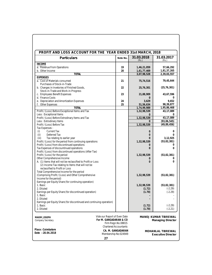| PROFIT AND LOSS ACCOUNT FOR THE YEAR ENDED 31st MARCH, 2018                                                                                         |                                                   |                            |                                                  |
|-----------------------------------------------------------------------------------------------------------------------------------------------------|---------------------------------------------------|----------------------------|--------------------------------------------------|
| Particulars                                                                                                                                         | Note No.                                          | 31.03.2018<br>(Rs.)        | 31.03.2017<br>(Rs.)                              |
| <b>INCOME</b>                                                                                                                                       |                                                   |                            |                                                  |
| a. Revenue From Operations                                                                                                                          | 19                                                | 1,46,21,059                | 57,66,292                                        |
| b. Other Income                                                                                                                                     | 20                                                | 1,61,77,469                | 1,81,37,265                                      |
| <b>TOTAL</b><br><b>EXPENSES</b>                                                                                                                     |                                                   | 3,07,98,528                | 2,39,03,557                                      |
| a. Cost of Materials consumed                                                                                                                       | 21                                                | 75,74,516                  | 79,45,644                                        |
| Purchases of Stock-in-Trade                                                                                                                         |                                                   |                            |                                                  |
| b. Changes in Invetories of Finished Goods,                                                                                                         | 22                                                | 25,76,301                  | (25, 76, 301)                                    |
| Stock-in-Trade and Work-in-Progress                                                                                                                 |                                                   |                            |                                                  |
| c. Employees Benefit Expenses                                                                                                                       | 23                                                | 21,88,909                  | 43,67,596                                        |
| d. Finance Costs                                                                                                                                    |                                                   | $\Omega$                   | 0                                                |
| e. Depreciation and Amortization Expenses                                                                                                           | 24<br>25                                          | 3,629                      | 9,652                                            |
| f. Other Expenses<br><b>TOTAL</b>                                                                                                                   |                                                   | 51,56,634                  | 98,39,877                                        |
| Profit / (Loss) Before Exceptional Items and Tax                                                                                                    |                                                   | 1,74,99,989<br>1,32,98,539 | 1,95,86,468<br>43, 17, 089                       |
| Less : Exceptional Items                                                                                                                            |                                                   | $\Omega$                   | $\Omega$                                         |
| Profit / (Loss) Before Extrodinary Items and Tax                                                                                                    |                                                   | 1,32,98,539                | 43, 17, 089                                      |
| Less: Extrodinary Items                                                                                                                             |                                                   | $\Omega$                   | (93,06,545)                                      |
| Profit / (Loss) Before Tax                                                                                                                          |                                                   | 1,32,98,539                | (49, 89, 456)                                    |
| Tax Expenses :                                                                                                                                      |                                                   |                            |                                                  |
| <b>Current Tax</b><br>(i)                                                                                                                           |                                                   | $\mathbf 0$                | 0                                                |
| Deferred Tax<br>(ii)                                                                                                                                |                                                   | $\overline{0}$             | $\Omega$                                         |
| Tax relating to earlier year<br>(iii)                                                                                                               |                                                   | $\Omega$                   | 3,12,925                                         |
| Profit / (Loss) for the period from continuing operations                                                                                           |                                                   | 1,32,98,539                | (53,02,381)                                      |
| Profit / (Loss) from discontinued operations                                                                                                        |                                                   | $\overline{0}$             | 0                                                |
| Tax Expenses of discountinued operations                                                                                                            |                                                   | $\Omega$                   | 0                                                |
| Profit / (Loss) from discontinued operations (After Tax)                                                                                            |                                                   |                            |                                                  |
| Profit / (Loss) for the period                                                                                                                      |                                                   | 1,32,98,539                | (53,02,381)                                      |
| Other Comprehensive Income                                                                                                                          |                                                   | $\overline{0}$             | 0                                                |
| A. (1) Items that will not be reclassified to Profit or Loss<br>(2) Income Tax relating to Items that will not be<br>reclassified to Profit or Loss |                                                   | $\theta$                   | $\Omega$                                         |
| Total Comprehensive Income for the period                                                                                                           |                                                   |                            |                                                  |
| (Comprising Profit / (Loss) and Other Comprehensive                                                                                                 |                                                   | 1,32,98,539                | (53,02,381)                                      |
| Income for the period)                                                                                                                              |                                                   |                            |                                                  |
| Earnings per Equity Share (for continuing operation)                                                                                                |                                                   |                            |                                                  |
| 1. Basic                                                                                                                                            |                                                   | 1,32,98,539                | (53,02,381)                                      |
| 2. Diluted                                                                                                                                          |                                                   | (1.72)                     | $(-2.29)$                                        |
| Earnings per Equity Share (for discontinued operation)                                                                                              |                                                   | (1.70)                     | $(-2.29)$                                        |
| 1. Basic                                                                                                                                            |                                                   |                            |                                                  |
| 2. Diluted                                                                                                                                          |                                                   |                            |                                                  |
| Earnings per Equity Share (for discontinued and continuing operation)                                                                               |                                                   |                            |                                                  |
| 1. Basic                                                                                                                                            |                                                   | (1.72)                     | $(-2.29)$                                        |
| 2. Diluted                                                                                                                                          |                                                   | (1.70)                     | $(-2.21)$                                        |
| Vide our Report of Even Date<br>MAXIM JOSEPH<br>For M. GANGADARAN & CO<br>Company Secretary                                                         | Firm Regn.No.0881S                                |                            | MANOJ KUMAR TIBREWAL<br><b>Managing Director</b> |
| Place: Coimbatore                                                                                                                                   | <b>Chartered Accountants</b><br>CA. M. GANGADARAN |                            | MOHANLAL TIBREWAL                                |
| Date: 28.04.2018<br>Membership No:024949                                                                                                            |                                                   |                            | <b>Executive Director</b>                        |
| 27                                                                                                                                                  |                                                   |                            |                                                  |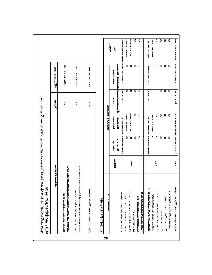| <b>SRADITRA</b>                                                                      |                |                                                   | $\sum_{N}$                 | )<br>R<br>M<br>M                            |                              |
|--------------------------------------------------------------------------------------|----------------|---------------------------------------------------|----------------------------|---------------------------------------------|------------------------------|
| <del>ױﺩﻫﻪﺕ ﺕ "ﺩﻫ", "ﺣﻤ",</del><br>محمون محمدتهم المساحد ممحصدهم<br>GOTTOM-SHOGODTOMB |                |                                                   | $\overline{3}$             | 91372761                                    |                              |
| CDATECTO DI LECTRONO CARDILE DE LE DESCRIPT<br>+CONCLAST-AFCALCOURCECTED             |                |                                                   | $\overline{3}$             | 91372767                                    |                              |
| condus⊿entementada                                                                   |                |                                                   | $\overline{3}$             | 913727607                                   |                              |
| > <del>{ + + </del> DO  14  14  14  0  ++++                                          |                |                                                   |                            |                                             |                              |
| <b>ORSHEDT DELL</b><br>28                                                            |                |                                                   | <b>ADVID-RD DO OF DEVI</b> |                                             |                              |
|                                                                                      | F<br>R         | COCCOOL<br>700000<br>a<br>B<br>C                  | <b>Corner</b>              | <b>VEDE THEM</b>                            | a<br>P<br>$\mathrm{\hat{R}}$ |
| <b>GOTTO TATSIC DETECTOR</b>                                                         |                | <b>CONSTRUCTION</b><br><b>Recording</b><br>914787 |                            | <b>December</b><br>ewer<br>中<br><b>Road</b> | イムワイワイワイワイ                   |
| JOHNTON ONGHALO                                                                      |                | ときらけのるとく<br>$\overline{0}$                        |                            | U                                           | わきっつけっきて<br>U                |
| ouncedowneronde                                                                      | $\frac{3}{1}$  | なりつちのそく<br>$\overline{0}$                         |                            | 0                                           | なのろうものすく<br>U                |
| <b>Department</b>                                                                    |                | $\overline{0}$                                    | U                          | $\boldsymbol{0}$                            | $\boldsymbol{0}$<br>U        |
| <b>HALLY COLLOCATE</b><br>DEBORD DOMESTOR                                            |                | $\overline{0}$<br>O                               | U                          | $\boldsymbol{0}$                            | $\boldsymbol{0}$<br>0<br>U   |
| 7<br>Formation of the content                                                        |                | <b>Addronator</b><br>$\overline{3}$<br>47 st51    |                            | <b>Department</b><br><b>Roada</b>           |                              |
| DOWNOW ONDER                                                                         |                | <b>PRADOBOCACH-</b><br>$\overline{0}$             |                            | 0                                           | OSPODOCAN-<br>0              |
| ouncontenation                                                                       | $\frac{3}{1}$  | $\overline{0}$                                    | 0                          | $\theta$                                    | $\boldsymbol{0}$<br>O        |
| <b>DEBROOK</b>                                                                       |                | $\overline{0}$                                    | $\boldsymbol{0}$           | $\boldsymbol{0}$                            | $\boldsymbol{0}$<br>U        |
| DEBREDO LA PRESENT                                                                   |                | $\overline{0}$                                    | O                          | O                                           | $\mathbf 0$<br>U             |
| ŷ<br>The Communication                                                               |                | O                                                 |                            | U                                           | 0<br>U                       |
| contents_on-courted                                                                  | $\overline{1}$ | CONDITES                                          |                            | <b>December</b><br>300000                   | れらわけのイイスで                    |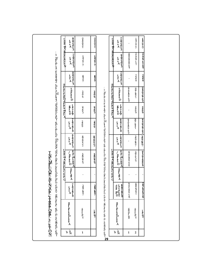|                                     |                                                                                                                                                                                                                                |                                                                                         |                                                       | t nu o marking as of discriming to the control of the control of the control of the control of the control of the control of the control of the control of the control of the control of the control of the control of the con |                          |                                                                                                                |                                                                        | בפיימים במים במים בבים ב   |                          | t nuo mA gatyradte N                                       |                                                       |
|-------------------------------------|--------------------------------------------------------------------------------------------------------------------------------------------------------------------------------------------------------------------------------|-----------------------------------------------------------------------------------------|-------------------------------------------------------|--------------------------------------------------------------------------------------------------------------------------------------------------------------------------------------------------------------------------------|--------------------------|----------------------------------------------------------------------------------------------------------------|------------------------------------------------------------------------|----------------------------|--------------------------|------------------------------------------------------------|-------------------------------------------------------|
| $\overline{s}$ $\frac{6}{N}$        | not prosedures A                                                                                                                                                                                                               | $\begin{bmatrix} 7 \\ 0 \\ 2 \\ 1 \\ 0 \end{bmatrix}$<br>t<br>$\mathbf{A}^{\mathrm{s}}$ | $\begin{bmatrix} n \\ p \\ p \\ q \\ A \end{bmatrix}$ | ៖<br>វត្ត<br>វត្ត<br>វត្ត<br>វត្ត<br>/ B<br>P<br>P<br>D<br>D                                                                                                                                                                   | 8192013<br>$\frac{t}{s}$ | <b>1924010</b><br>$\frac{1}{s}$                                                                                | g fae<br>Huyeh<br>D                                                    | s<br>p<br>p<br>p<br>D      | 8025013<br>$\frac{1}{s}$ | $\frac{7}{9}$ $\frac{9}{3}$ $\frac{1}{3}$<br>$\frac{t}{s}$ | s<br>d<br>d<br>d<br>d<br>d<br>d<br>d<br>$\frac{t}{s}$ |
| $\mathbf 1$                         | se<br>Propinsi                                                                                                                                                                                                                 | 300000                                                                                  |                                                       | 5000005                                                                                                                                                                                                                        | 888752                   | $\frac{2}{9}$                                                                                                  | $\frac{9}{6}$ 3                                                        | るりち                        | $\frac{8}{2}$            | 130777                                                     | <b>Offorcing</b>                                      |
|                                     | $\frac{1}{2}$                                                                                                                                                                                                                  | <b>SOOK</b>                                                                             |                                                       | 50000015                                                                                                                                                                                                                       | good<br>552              | 3<br>6<br>9                                                                                                    | $\frac{9}{6}$ 3                                                        | $\frac{3}{0}$ 6            | $\frac{8}{2}$            | 137777                                                     | <b>ONDOCO</b>                                         |
|                                     | : s yo-b-us frame hard of the deduction of the partner of the deduction of a service of the service of the service of the service of the service of the service of the service of the service of the service of the service of |                                                                                         |                                                       |                                                                                                                                                                                                                                |                          |                                                                                                                |                                                                        |                            |                          |                                                            |                                                       |
|                                     |                                                                                                                                                                                                                                |                                                                                         |                                                       | t nuo m Agntyrta<br>C<br>S<br>P<br>G<br>S<br>P<br>G                                                                                                                                                                            |                          |                                                                                                                |                                                                        | notator de De De De Parado |                          | t nuo mA antyriatie N                                      |                                                       |
| $\frac{6}{N}$<br>$\mathbf{\dot{S}}$ | not preseD                                                                                                                                                                                                                     | <b>601101010</b><br>d å<br>a å<br>a å<br>p<br>D<br>D<br>D<br>C                          | $\begin{bmatrix} 1 \\ 0 \\ 1 \\ 0 \\ A \end{bmatrix}$ | ៖<br>ne m<br>sud<br>A<br>/ p<br> }<br> }<br> }<br> }                                                                                                                                                                           | もろりも<br>$\frac{1}{s}$    | 6924010<br>$\frac{1}{s}$                                                                                       | r<br>Jeyeh<br>$\prod_{\substack{\text{1} \text{1} \text{1} \text{1}}}$ | s<br>p<br>p<br>p<br>D      | もうりょう<br>$\frac{1}{s}$   | 692mm<br>$\frac{1}{s}$                                     | てりるりつい<br>$\frac{t}{s}$                               |
| $\mathbf 1$                         | ត្ត<br>អ្នក                                                                                                                                                                                                                    | 6787726                                                                                 |                                                       | 6-6182726                                                                                                                                                                                                                      | $\overline{a}$           | 653772                                                                                                         | $\overline{a}$                                                         | <b>664807722</b>           | $\overline{a}$           | 1000000                                                    |                                                       |
| $\mathbf 2$                         | se<br>Propinsi                                                                                                                                                                                                                 | <b>60042571</b>                                                                         | $\overline{a}$                                        | <b>address</b>                                                                                                                                                                                                                 | 389687                   | $\frac{9}{2}$<br>$\frac{8}{1}$                                                                                 | 369                                                                    | $\frac{9}{2811}$           | $\frac{2}{9}$            | 39571                                                      | まってクク                                                 |
|                                     | $\frac{1}{f}$                                                                                                                                                                                                                  | <b>GOOSTOCKD</b>                                                                        |                                                       | 913913826                                                                                                                                                                                                                      | <b>SORONOON</b>          | mondonesis da sendidos da sentidos de la constitución de la constitución de la constitución de la constitución | $\frac{2}{6}$                                                          | <b>SHOCKERS</b>            | $\frac{2}{9}$            | 7957101                                                    | まさケク                                                  |
|                                     |                                                                                                                                                                                                                                |                                                                                         |                                                       |                                                                                                                                                                                                                                |                          |                                                                                                                |                                                                        |                            |                          |                                                            |                                                       |
|                                     |                                                                                                                                                                                                                                |                                                                                         |                                                       |                                                                                                                                                                                                                                |                          |                                                                                                                |                                                                        |                            |                          |                                                            |                                                       |
|                                     |                                                                                                                                                                                                                                |                                                                                         |                                                       |                                                                                                                                                                                                                                |                          |                                                                                                                |                                                                        |                            |                          |                                                            |                                                       |
|                                     |                                                                                                                                                                                                                                |                                                                                         |                                                       |                                                                                                                                                                                                                                |                          |                                                                                                                |                                                                        |                            |                          |                                                            |                                                       |

**29**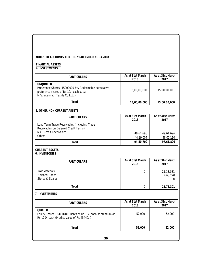# **NOTES TO ACCOUNTS FOR THE YEAR ENDED 31.03.2018**

# **FINANCIAL ASSETS 4. INVESTMENTS**

| <b>PARTICULARS</b>                                                                                                                                     | As at 31st March<br>2018 | As at 31st March<br>2017   |
|--------------------------------------------------------------------------------------------------------------------------------------------------------|--------------------------|----------------------------|
| <b>UNQUOTED</b><br>Preference Shares (15000000 6% Redeemable cumulative<br>preference shares of Rs.10/- each at par<br>M/s.Jagannath Textile Co.Ltd.,) | 15,00,00,000             | 15,00,00,000               |
| Total                                                                                                                                                  | 15,00,00,000             | 15,00,00,000               |
| 5. OTHER NON CURRENT ASSETS                                                                                                                            |                          |                            |
| <b>PARTICULARS</b>                                                                                                                                     | As at 31st March<br>2018 | As at 31st March<br>2017   |
| Long Term Trade Receivables (Including Trade<br>Receivables on Deferred Credit Terms)<br><b>MAT Credit Receivables</b><br><b>Others</b>                | 49,61,696<br>44,89,004   | 49,61,696<br>48,00,110     |
| Total                                                                                                                                                  | 94,50,700                | 97,61,806                  |
|                                                                                                                                                        |                          |                            |
| <b>CURRENT ASSETS</b><br><b>6. INVENTORIES</b><br><b>PARTICULARS</b>                                                                                   | As at 31st March<br>2018 | As at 31st March<br>2017   |
| <b>Raw Materials</b><br><b>Finished Goods</b><br>Stores & Spares                                                                                       | 0<br>0<br>0              | 21,13,081<br>4,63,220<br>0 |
| Total                                                                                                                                                  | 0                        | 25,76,301                  |
|                                                                                                                                                        |                          |                            |
| <b>PARTICULARS</b>                                                                                                                                     | As at 31st March<br>2018 | As at 31st March<br>2017   |
| 7. INVESTMENTS<br>QUOTED<br>Equity Shares - 640 IDBI Shares of Rs.10/- each at premium of<br>Rs.120/- each, (Market Value of Rs.45440/-)               | 52,000                   | 52,000                     |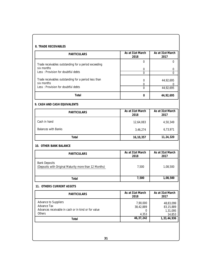| <b>PARTICULARS</b>                                                                                   | As at 31st March<br>2018            | As at 31st March<br>2017                     |
|------------------------------------------------------------------------------------------------------|-------------------------------------|----------------------------------------------|
| Trade receivables outstanding for a period exceeding                                                 | $\mathbf 0$                         | 0                                            |
| six months<br>Less: Provision for doubtful debts                                                     | 0<br>$\Omega$                       | 0<br>0                                       |
| Trade receivables outstanding for a period less than<br>six months                                   | 0<br>$\overline{0}$                 | 44,92,695<br>$\Omega$                        |
| Less: Provision for doubtful debts                                                                   | $\Omega$                            | 44,92,695                                    |
| Total                                                                                                | $\Omega$                            | 44,92,695                                    |
| 9. CASH AND CASH EQUIVALENTS                                                                         |                                     |                                              |
| <b>PARTICULARS</b>                                                                                   | As at 31st March<br>2018            | As at 31st March<br>2017                     |
| Cash in hand                                                                                         | 12,64,083                           | 4,50,349                                     |
| <b>Balances with Banks</b>                                                                           | 3,46,274                            | 6,73,971                                     |
| Total                                                                                                | 16, 10, 357                         | 11,24,320                                    |
| 10. OTHER BANK BALANCE                                                                               |                                     |                                              |
| <b>PARTICULARS</b>                                                                                   | As at 31st March<br>2018            | As at 31st March<br>2017                     |
| <b>Bank Deposits</b><br>(Depsoits with Original Maturity more than 12 Months)                        | 7,500                               | 1,08,500                                     |
| Total                                                                                                | 7,500                               | 1,08,500                                     |
| 11. OTHERS CURRENT ASSETS                                                                            |                                     |                                              |
| PARTICULARS                                                                                          | As at 31st March<br>2018            | As at 31st March<br>2017                     |
| Advance to Suppliers<br>Advance Tax<br>Advances receivable in cash or in kind or for value<br>Others | 7,90,000<br>38,42,889<br>0<br>4,353 | 48,83,099<br>83,15,889<br>1,31,095<br>14,853 |
| Total                                                                                                | 46, 37, 242                         | 1,33,44,936                                  |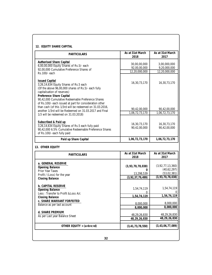| <b>PARTICULARS</b>                                                                                                                                                                                                                                                                                | As at 31st March<br>2018       | As at 31st March<br>2017        |
|---------------------------------------------------------------------------------------------------------------------------------------------------------------------------------------------------------------------------------------------------------------------------------------------------|--------------------------------|---------------------------------|
| Authorised Share Capital                                                                                                                                                                                                                                                                          |                                |                                 |
| 6,00,00,000 Equity Shares of Rs.5/- each                                                                                                                                                                                                                                                          | 30,00,00,000<br>92,00,00,000   | 3,00,000,000<br>9,20,000,000    |
| 92,00,000 Cumulative Preference Shares of                                                                                                                                                                                                                                                         | 12,20,000,000                  | 12,20,000,000                   |
| Rs.100/- each                                                                                                                                                                                                                                                                                     |                                |                                 |
| <b>Issued Capital</b><br>3,26,14,634 Equity Shares of Rs.5 each<br>(Of the above 96,00,000 shares of Rs.5/- each fully<br>capitalisation of reserves)<br>Preference Share Capital<br>90,42,000 Cumulative Redeemable Preference Shares<br>of Rs.100/- each issued at part for consideration other | 16,30,73,170                   | 16,30,73,170                    |
| than cash (of this 1/3rd will be redeemed on 31.03.2016,                                                                                                                                                                                                                                          |                                |                                 |
| another 1/3rd will be Redeemed on 31.03.2017 and Final                                                                                                                                                                                                                                            | 90,42,00,000<br>1,06,72,73,170 | 90,42,00,000<br>1,06,72,73,170  |
| 1/3 will be redeemed on 31.03.2018)                                                                                                                                                                                                                                                               |                                |                                 |
| Subscribed & Paid up<br>3,26,14,634 Equity Shares of Rs.5 each fully paid<br>90,42,000 6.5% Cumulative Redeemable Preference Shares<br>of Rs.100/- each fully paid                                                                                                                                | 16,30,73,170<br>90,42,00,000   | 16,30,73,170<br>90,42,00,000    |
| Paid up Share Capital                                                                                                                                                                                                                                                                             | 1,06,72,73,170                 | 1,06,72,73,170                  |
| 13. OTHER EQUITY                                                                                                                                                                                                                                                                                  |                                |                                 |
| <b>PARTICULARS</b>                                                                                                                                                                                                                                                                                | As at 31st March               | As at 31st March                |
|                                                                                                                                                                                                                                                                                                   | 2018                           | 2017                            |
| a. GENERAL RESERVE<br>Opening Balance                                                                                                                                                                                                                                                             | (3, 93, 70, 78, 038)<br>0      | (3,92,77,13,360)<br>(40,62,297) |
| Prior Year Taxes                                                                                                                                                                                                                                                                                  | 13,298,539                     | (53,02,381)                     |
| Profit / (Loss) for the year<br>Closing Balance                                                                                                                                                                                                                                                   | (3, 92, 37, 79, 499)           | (3, 93, 70, 78, 038)            |
| b. CAPITAL RESERVE<br>Opening Balance<br>Less: Transfer to Profit & Loss A/c                                                                                                                                                                                                                      | 1,54,74,119<br>$\Omega$        | 1,54,74,119<br>0                |
| Closing Balance                                                                                                                                                                                                                                                                                   | 1,54,74,119                    | 1,54,74,119                     |
| c. SHARE WARRANT FORFEITED                                                                                                                                                                                                                                                                        | 8,000,000                      | 8,000,000                       |
| Balance as per last account                                                                                                                                                                                                                                                                       | 8,000,000                      | 8,000,000                       |
| d. SHARE PREMIUM                                                                                                                                                                                                                                                                                  |                                |                                 |
| As per Last year Balance Sheet                                                                                                                                                                                                                                                                    | 48,29,26,830                   | 48,29,26,830                    |
|                                                                                                                                                                                                                                                                                                   | 48,29,26,830                   | 48, 29, 26, 830                 |
| OTHER EQUITY = $(a+b+c+d)$                                                                                                                                                                                                                                                                        | (3, 41, 73, 78, 550)           | (3, 43, 06, 77, 089)            |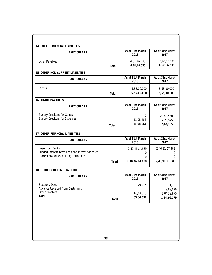| <b>PARTICULARS</b>                                                                     |       | As at 31st March<br>2018 | As at 31st March<br>2017   |
|----------------------------------------------------------------------------------------|-------|--------------------------|----------------------------|
| Other Payables                                                                         |       | 4,81,46,535              | 6,62,56,535                |
|                                                                                        | Total | 4,81,46,535              | 6,62,56,535                |
| 15. OTHER NON CURRENT LIABILITIES                                                      |       |                          |                            |
| PARTICULARS                                                                            |       | As at 31st March<br>2018 | As at 31st March<br>2017   |
| Others                                                                                 |       | 5,55,00,000              | 5,55,00,000                |
|                                                                                        | Total | 5,55,00,000              | 5,55,00,000                |
| 16. TRADE PAYABLES                                                                     |       |                          |                            |
| <b>PARTICULARS</b>                                                                     |       | As at 31st March<br>2018 | As at 31st March<br>2017   |
| Sundry Creditors for Goods                                                             |       | $\Omega$                 | 20,40,530                  |
| Sundry Creditors for Expenses                                                          |       | 11,98,264                | 12,26,575                  |
|                                                                                        | Total | 11,98,264                | 32,67,105                  |
| 17. OTHER FINANCIAL LIABILITIES                                                        |       |                          |                            |
| PARTICULARS                                                                            |       | As at 31st March<br>2018 | As at 31st March<br>2017   |
| Loan from Banks                                                                        |       | 2,40,46,84,989           | 2,40,91,57,989             |
| Funded Interest Term Loan and Interest Accrued<br>Current Maturities of Long Term Loan |       | 0                        | 0                          |
|                                                                                        |       | 0                        | 0<br>2,40,91,57,989        |
|                                                                                        | Total | 2,40,46,84,989           |                            |
| 18. OTHER CURRENT LIABILITIES                                                          |       |                          |                            |
| PARTICULARS                                                                            |       | As at 31st March<br>2018 | As at 31st March<br>2017   |
| <b>Statutory Dues</b>                                                                  |       | 79,416                   | 31,283                     |
| Advance Received from Customers<br>Other Payables                                      |       | 0                        | 9,89,026                   |
| Total                                                                                  |       | 65,04,615<br>65,84,031   | 1,04,39,870<br>1,14,60,179 |
|                                                                                        | Total |                          |                            |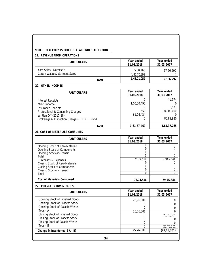| 19. REVENUE FROM OPERATIONS                                                                                                                                                                                                          |                                                             |                                                                 |
|--------------------------------------------------------------------------------------------------------------------------------------------------------------------------------------------------------------------------------------|-------------------------------------------------------------|-----------------------------------------------------------------|
| <b>PARTICULARS</b>                                                                                                                                                                                                                   | Year ended<br>31.03.2018                                    | Year ended<br>31.03.2017                                        |
| Yarn Sales - Domestic<br><b>Cotton Waste &amp; Garment Sales</b>                                                                                                                                                                     | 5,50,160<br>1,40,70,899                                     | 57,66,292<br>0                                                  |
| Total                                                                                                                                                                                                                                | 1,46,21,059                                                 | 57,66,292                                                       |
| 20. OTHER INCOMES                                                                                                                                                                                                                    |                                                             |                                                                 |
| <b>PARTICULARS</b>                                                                                                                                                                                                                   | Year ended<br>31.03.2018                                    | Year ended<br>31.03.2017                                        |
| <b>Interest Receipts</b><br>Misc. Income<br><b>Insurance Receipts</b><br>Professional & Consulting Charges<br>Written Off (2017-18)<br>Brokerage & Inspection Charges - TIBRE Brand                                                  | $\Omega$<br>1,00,50,495<br>0<br>550<br>61,26,424<br>0       | 41,774<br>0<br>5,571<br>1,00,00,000<br>0<br>80,89,920           |
| Total                                                                                                                                                                                                                                | 1,61,77,469                                                 | 1,81,37,265                                                     |
| 21. COST OF MATERIALS CONSUMED                                                                                                                                                                                                       |                                                             |                                                                 |
| PARTICULARS                                                                                                                                                                                                                          | Year ended<br>31.03.2018                                    | Year ended<br>31.03.2017                                        |
| Opening Stock of Raw-Materials<br>Opening Stock of Components<br>Opening Stock-in-Transit<br>Total<br>Purchases & Expenses<br>Closing Stock of Raw-Materials<br>Closing Stock of Components<br>Closing Stock-in-Transit<br>Total     | 0<br>0<br>0<br>$\Omega$<br>75,74,516<br>0<br>0<br>0<br>0    | 0<br>0<br>0<br>$\Omega$<br>7,945,644<br>0<br>0<br>0<br>$\Omega$ |
| Cost of Materials Consumed                                                                                                                                                                                                           | 75,74,516                                                   | 79,45,644                                                       |
| 22. CHANGE IN INVENTORIES                                                                                                                                                                                                            |                                                             |                                                                 |
| PARTICULARS                                                                                                                                                                                                                          | Year ended<br>31.03.2018                                    | Year ended<br>31.03.2017                                        |
| Opening Stock of Finished Goods<br>Opening Stock of Process Stock<br>Opening Stock of Salable Waste<br>Total - A<br>Closing Stock of Finished Goods<br>Closing Stock of Process Stock<br>Closing Stock of Salable Waste<br>Total - B | 25,76,301<br>0<br>0<br>25,76,301<br>0<br>0<br>0<br>$\Omega$ | 0<br>0<br>0<br>0<br>25,76,301<br>0<br>0<br>25,76,301            |
| Change in Inventories (A - B)                                                                                                                                                                                                        | 25,76,301                                                   | (25, 76, 301)                                                   |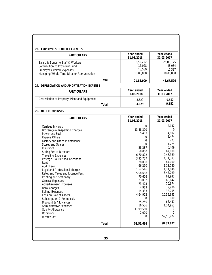| PARTICULARS                                   | Year ended<br>31.03.2018 | Year ended<br>31.03.2017 |
|-----------------------------------------------|--------------------------|--------------------------|
| Salary & Bonus to Staff & Workers             | 3,59,292                 | 25,09,175                |
| Contribution to Provident Fund                | 16,028                   | 48,084                   |
| Employees welfare expenses                    | 13,589                   | 10,337                   |
| Managing/Whole Time Director Remuneration     | 18,00,000                | 18,00,000                |
| Total                                         | 21,88,909                | 43,67,596                |
| 24. DEPRECIATION AND AMORTISATION EXPENSE     |                          |                          |
| PARTICULARS                                   | Year ended               | Year ended               |
|                                               | 31.03.2018               | 31.03.2017               |
| Depreciation of Property, Plant and Equipment | 3,629                    | 9,652                    |
| Total                                         | 3,629                    | 9,652                    |
| 25. OTHER EXPENSES                            |                          |                          |
| <b>PARTICULARS</b>                            | Year ended               | Year ended               |
|                                               | 31.03.2018               | 31.03.2017               |
| Carriage Inwards                              | 0                        | 2,142                    |
| Brokerage & Inspection Charges                | 13,48,320                | 0                        |
| Power and Fuel                                | 5,463                    | 14,892                   |
| Repairs Others                                | 0                        | 5,474                    |
| Factory and Office Maintenance                | $\Omega$                 | 773                      |
| <b>Stores and Spares</b>                      | 0                        | 11,225                   |
| Insurance                                     | 28,287                   | 6,409                    |
| Sitting Fee to Directors                      | 58,000                   | 67,000                   |
| <b>Travelling Expenses</b>                    | 6,70,802                 | 9,46,369                 |
| Postage, Courier and Telephone                | 3,95,737                 | 4,71,393                 |
| Rent                                          | 28,000                   | 84,000                   |
| <b>Audit Fees</b>                             | 66,250                   | 1,13,750                 |
| Legal and Professional charges                | 1,52,546                 | 1,21,840                 |
| Rates and Taxes and Licence Fees              | 5,08,638                 | 5,47,029                 |
| Printing and Stationery                       | 70,626                   | 61,943                   |
| General Expenses                              | 23,032                   | 68,642                   |
| <b>Advertisement Expenses</b>                 | 73,403                   | 70,674                   |
| <b>Bank Charges</b>                           | 4,919                    | 9,936                    |
| Selling Expenses                              | 14,333                   | 38,755                   |
| Loss on Sale of Assets                        | 4,64,922                 | 10,39,655                |
| Subscription & Periodicals                    | 0                        | 600                      |
| Discount & Allowances                         | 25,250                   | 66,451                   |
| <b>Administrative Expenses</b>                | 16,556                   | 1,34,953                 |
| Quality Allowance                             | 11,99,550                | 0                        |
| Donations                                     | 2,000                    | 0                        |
| Written Off                                   | 0                        | 59,55,972                |
| Total                                         | 51,56,634                | 98,39,877                |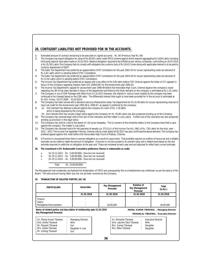# **26. CONTIGENT LIABILITIES NOT PROVIDED FOR IN THE ACCOUNTS.**

- 1) Estimated amount of contract remaining to be executed on capital accounts Rs. Nil (Previous Year Rs. Nil)
- 2) The Company has export obligation for value of Rs.40,931 Lakhs under EPCG scheme against which exports aggregating Rs.5,626 Lakhs including third party exports have been made on 31.03.2015. Balance obligation required to be fulfilled as per various schedules, culminating on 20.07.2015 is Rs.35,305 Lakhs.The Company fails to comply with obligation the customs duty of Rs.18.45 Crores along with applicable interest is to be paid to Customs department of DGFT.
- 3) The Sales Tax Department has preferred an appeal before STAT Coimbatore for the year 2002-03 for issues representing sales tax demand of Rs.1.82 Lakhs which is pending before STAT, Coimbatore.
- 4) The Sales Tax Department has preferred an appeal before STAT Coimbatore for the year 2003-04 for issues representing sales tax demand of Rs.13.54 Lakhs which is pending before STAT, Coimbatore.

5) The Income Tax Department has preferred an appeal with a tax effect of Rs.5.85 lakhs before ITAT Chennai against the Order of CIT (appeal) in favour of the Company regarding interest claim U/S 234B/234C for the Assessment year 2004-05.

- 6) The Income Tax Department's appeal for assessment year 1998-99 before the Honorable High Court, Chennai Against the company's stand regarding Sec 80 IA has been decided in favour of the department and there by the likely demand on the company is estimated at Rs.1.25 Lakhs.
- 7) The Company is out of CDR Package with effect from 22.10.2012 However, the interest in various loans availed by the company has been continued to be charged based on the CDR rates. The differential interest that ought to have been provided for in the account is estimated at Rs.103. Crores, (01.07.2008 – 31.03.2015)
- 8) The Company has been served with a demand notice by Maharashtra Sales Tax Department for Rs.32.46 lakhs for issues representing reversal of input vat credit for the Assessment year 2005-06 & 2006-07, an appeal is preferred by the company.
- 9) (a) One claimant has attained a decree against the company for claim of Rs. 1.18 lakhs which is being disputed by the Company.
- (b) One claimant who has issued a legal notice against the Company for Rs. 93.86 Lakhs has also proposed winding up of the Company. 10) The Company has received legal notice from two of the claimants and the matter is sub-Judice. Further one of the claimants has also proposed winding up provision in the legal notice.
- 11) The Company has sold its Land to the extent of 1.62 acres Kalapatty. The Co-owners of the erstwhile sellers to the Company have filed a case against the company. The matter is sub judice.
- 12) The Company has received notice for the payment of penalty u/s 271(1)(c) of the Income Tax Act, 1961 of Rs. 730 Lakhs for the Asst. year : 2012 - 2013. The Income Tax Appellate Tribunel, Chennai vide its order dated 26.05.2017 has also confirmed the above demand. The Company has prefered appeal against this order before the Honourable High Court of Madras, Chennai.
- **27.** A Provision is recognized when there is present obligation as a result of a past event. That probably requires an outflow of resources and a reliable estimate can be made to settle the amount of obligation. Provision is not discounted to its present value and is determined based on the last estimate required to settle the on obligation at the year end. These are reviewed at each year end and adjusted to reflect best current estimate.
- **28. The investment in 6% Redeemable Cumulative preference Shares is redeemable as under**
	- a. On 25.11.2012 Rs. 5,00,00,000/- (Due but not received)
	- b. On 25.11.2013 Rs. 5,00,00,000/- (Due but not received)
	- c. On 25.11.2014 Rs. 5,00,00,000/- (Due but not received)

Total Rs. 15,00,00,000/-

The Management had unilaterally rescheduled the Redemption of CRPS and subsequently the re-schedulement was withdrawn as per the advice of the Board. The total amount having fallen due has not yet been received by the Company.

**29. TRANSACTION OF RELATED PARTIES (AS 18)**

| <b>PARTICULARS</b>                                                                                 | Associates | Key Management<br>Personal | Relative of<br>Key Management<br>Personal | Total<br>(ln Rs.)                                                                  |
|----------------------------------------------------------------------------------------------------|------------|----------------------------|-------------------------------------------|------------------------------------------------------------------------------------|
|                                                                                                    | 31.03.2018 | 31.03.2018                 | 31.03.2018                                | 31.03.2018                                                                         |
| Finance<br>Salary<br>Managerial Remunaration                                                       |            | 18,00,000                  |                                           | 18.00.000                                                                          |
| Name of related parties and description of relationship upto 31.03.2018<br>Key Management Personal |            |                            |                                           | MANOJ KUMAR TIBREWAL - Managing Director<br>MOHANLAL TIBREWAL - Executive Director |

| Sri. Manoj Kumar Tibrewal<br>Smt. Anitha Tibrewal<br>Mr. Mayank Tibrewal | : Managing Director<br>Wife<br>Son |
|--------------------------------------------------------------------------|------------------------------------|
| Mrs. Arpita Tibrewal<br>Mr. Umang Tibrewal                               | Daughter in Law<br>Son             |

Sri. Mohanlal Tibrewal Smt. Lakshmi Devi Tibrewal Mrs. Suman Tibrewal Mrs. Neha Tibrewal : Executive Director : Wife : Daughter : Daughter

**36**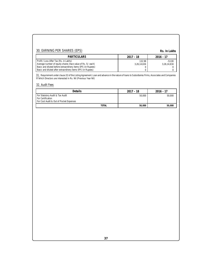# 30. EARNING PER SHARES (EPS)

**Rs. In Lakhs**

| PARTICULARS                                                                                                                 | $2017 - 18$           | $2016 - 17$             |
|-----------------------------------------------------------------------------------------------------------------------------|-----------------------|-------------------------|
| Profit / Loss After Tax (Rs. in Lakhs)<br>Average number of equity shares (face value of Rs. 5/- each)                      | 132.98<br>3,26,14,634 | $-53.00$<br>3,26,14,634 |
| Basic and diluted before extraordinery items EPS (in Rupees)<br>Basic and diluted after extraordinery items EPS (in Rupees) |                       |                         |

31. Requirement under clause 32 of the Listing Agreement. Loan and advance in the nature of loans to Subsidiaries Firms, Associates and Companies in which Directors are interested in Rs. Nil (Previous Year Nil)

# 32. Audit Fees

| Details                                                                                         | $2017 - 18$ | 2016 - 17 |
|-------------------------------------------------------------------------------------------------|-------------|-----------|
| For Statutory Audit & Tax Audit<br>For Certification<br>For Cost Audit & Out of Pocket Expenses | 50.000      | 50.000    |
| <b>TOTAL</b>                                                                                    | 50,000      | 50,000    |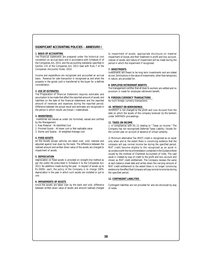# **SIGNIFICANT ACCOUNTING POLICIES – ANNEXURE I**

#### **1. BASIS OF ACCOUNTING**

The financial statements are prepared under the historical cost convention on accrual basis and in accordance with Schedule III of the Companies Act, 2013, and the accounting standards specified in Section 133 of the Companies Act, 2013 read with Rule 7 of the Companies (Accounts) Rules, 2014.

Income and expenditure are recognized and accounted an accrual basis. Revenue for sale transaction is recognized as and when the property in the goods sold is transferred to the buyer for a definite consideration.

#### **2. USE OF ESTIMATES**

The Preparation of financial Statement requires estimates and assumption to be made that affect the reported amount of assets and liabilities on the date of the financial statements and the reported amount of revenues and expenses during the reported period. Difference between the actual result and estimates are recognized in the period in which results are known / materialized.

# **3. INVENTORIES**

 Inventories are valued as under (As furnished, valued and certified by the Management.

- 1. Raw Material At Identified Cost
- 2. Finished Goods At lower cost or Net realizable value
- 3. Stores and Spares At weighted Average cost

#### **4. FIXED ASSETS**

All the Assets except vehicles are taken over, sold, realized and adjusted against loan dues by the bank. The difference between the realized amount and written down value of the assets are charged to impairment of assets.

#### **5. DEPRECIATION**

Depreciation on fixed assets is provided on straight-line method as per the useful life prescribed in Schedule II to the Companies Act, 2013. No additions made during the year. In respect of assets up to Rs.5000/- each, the policy of the Company is to charge 100% depreciation in the year in which such assets are installed or put to use.

#### **6. IMPAIRMENTS OF ASSETS**

Since the assets are taken over by the bank and sold, difference between written down value of assets and amount realised charged to impairment of assets. appropriate disclosure on material impairment of losses and their treatment in profit and loss account, classes of assets and nature of impairment will be made during the period in which the impairment if recognized.

#### **7. INVESTMENTS**

Investments are meant to be long term investments and are stated at cost. Diminutions in the value of investments, other than temporary in nature, are provided for.

#### **8. EMPLOYEE RETIREMENT BENFITS**

The management certifies that all dues to workers are settled and no provision is made for employee retirement benefit.

#### **9. FOREIGN CURRENCY TRANSACTIONS**

No such foreign currency transactions.

#### **10. INTEREST ON BORROWINGS**

INTEREST is not charged to the profit and Loss Account from the date on which the assets of the company tookover by the bankers under SARFAESI proceedings.

# **11. TAXES ON INCOME**

1. In compliances with AS 22 relating to " Taxes on Income " The Company has not recongnized Deferred Taxes Liability / Assets for the current year on account of absence of virtual certainty.

2) Minimum alternative Tax (MAT) credit is recognized as on asset only when and to the extent there is convincing evidence that the company will pay normal income tax during the specified period. MAT credit become eligible to the recognized as an asset in accordance with the recommendation contained in the Guidance Note issued by the institute of Chartered Accountant of India. The said asset is created by way of credit to the profit and loss account and shown as MAT credit entitlement. The Company reviews the same at each balance sheet date and writes down the carrying amount of MAT credit entitlement to the extent there is no longer convincing evidence to the effect that Company will pay normal income tax during the specified period.

#### **12. CONTINGENT LIABILITIES**

Contingent liabilities are not provided for and are disclosed by way of notes.